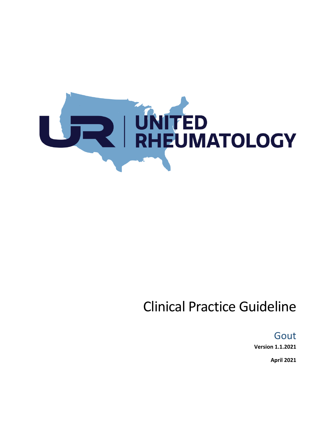

# Clinical Practice Guideline

Gout

**Version 1.1.2021**

**April 2021**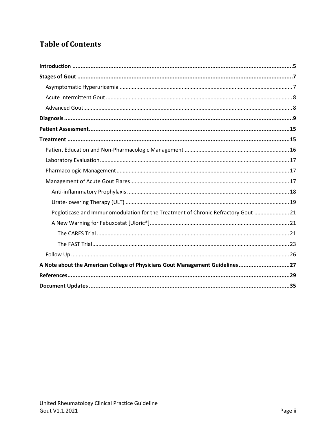# **Table of Contents**

| Pegloticase and Immunomodulation for the Treatment of Chronic Refractory Gout  21 |
|-----------------------------------------------------------------------------------|
|                                                                                   |
|                                                                                   |
|                                                                                   |
|                                                                                   |
| A Note about the American College of Physicians Gout Management Guidelines27      |
|                                                                                   |
|                                                                                   |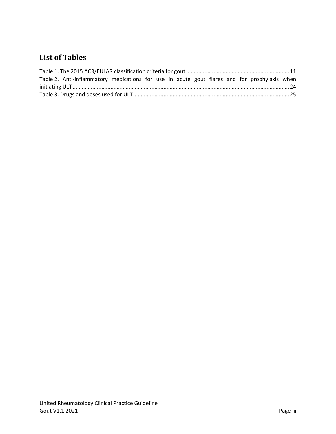# **List of Tables**

| Table 2. Anti-inflammatory medications for use in acute gout flares and for prophylaxis when |  |  |  |  |
|----------------------------------------------------------------------------------------------|--|--|--|--|
|                                                                                              |  |  |  |  |
|                                                                                              |  |  |  |  |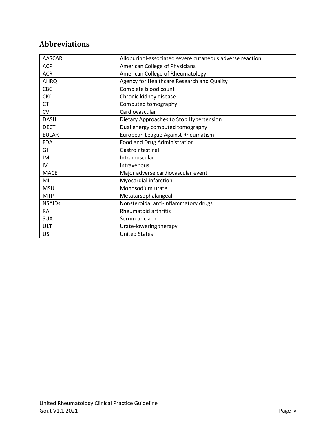# **Abbreviations**

| <b>AASCAR</b> | Allopurinol-associated severe cutaneous adverse reaction |
|---------------|----------------------------------------------------------|
| <b>ACP</b>    | American College of Physicians                           |
| <b>ACR</b>    | American College of Rheumatology                         |
| <b>AHRQ</b>   | Agency for Healthcare Research and Quality               |
| CBC           | Complete blood count                                     |
| <b>CKD</b>    | Chronic kidney disease                                   |
| <b>CT</b>     | Computed tomography                                      |
| CV            | Cardiovascular                                           |
| <b>DASH</b>   | Dietary Approaches to Stop Hypertension                  |
| <b>DECT</b>   | Dual energy computed tomography                          |
| <b>EULAR</b>  | European League Against Rheumatism                       |
| <b>FDA</b>    | Food and Drug Administration                             |
| GI            | Gastrointestinal                                         |
| <b>IM</b>     | Intramuscular                                            |
| IV            | Intravenous                                              |
| <b>MACE</b>   | Major adverse cardiovascular event                       |
| MI            | Myocardial infarction                                    |
| <b>MSU</b>    | Monosodium urate                                         |
| <b>MTP</b>    | Metatarsophalangeal                                      |
| <b>NSAIDs</b> | Nonsteroidal anti-inflammatory drugs                     |
| <b>RA</b>     | Rheumatoid arthritis                                     |
| <b>SUA</b>    | Serum uric acid                                          |
| ULT           | Urate-lowering therapy                                   |
| US            | <b>United States</b>                                     |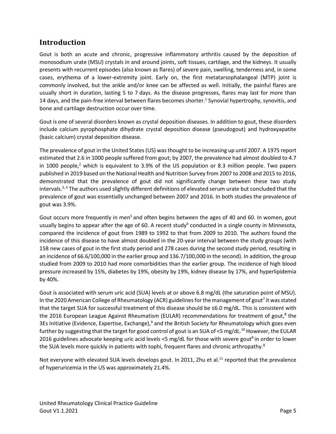# <span id="page-4-0"></span>**Introduction**

Gout is both an acute and chronic, progressive inflammatory arthritis caused by the deposition of monosodium urate (MSU) crystals in and around joints, soft tissues, cartilage, and the kidneys. It usually presents with recurrent episodes (also known as flares) of severe pain, swelling, tenderness and, in some cases, erythema of a lower-extremity joint. Early on, the first metatarsophalangeal (MTP) joint is commonly involved, but the ankle and/or knee can be affected as well. Initially, the painful flares are usually short in duration, lasting 5 to 7 days. As the disease progresses, flares may last for more than 14 days, and the pain-free interval between flares becomes shorter[.](#page-28-1)<sup>1</sup> Synovial hypertrophy, synovitis, and bone and cartilage destruction occur over time.

Gout is one of several disorders known as crystal deposition diseases. In addition to gout, these disorders include calcium pyrophosphate dihydrate crystal deposition disease (pseudogout) and hydroxyapatite (basic calcium) crystal deposition disease.

The prevalence of gout in the United States (US) was thought to be increasing up until 2007. A 1975 report estimated that 2.6 in 1000 people suffered from gout; by 2007, the prevalence had almost doubled to 4.7 in 1000 people, $^2$  $^2$  which is equivalent to 3.9% of the US population or 8.3 million people. Two papers published in 2019 based on the National Health and Nutrition Survey from 2007 to 2008 and 2015 to 2016, demonstrated that the prevalence of gout did not significantly change between these two study intervals.[3,](#page-28-3) [4](#page-28-4) The authors used slightly different definitions of elevated serum urate but concluded that the prevalence of gout was essentially unchanged between 2007 and 2016. In both studies the prevalence of gout was 3.9%.

Gout occurs more freque[n](#page-28-5)tly in men<sup>5</sup> and often begins between the ages of 40 and 60. In women, gout usually begins to appear after the age of [6](#page-28-6)0. A recent study<sup>6</sup> conducted in a single county in Minnesota, compared the incidence of gout from 1989 to 1992 to that from 2009 to 2010. The authors found the incidence of this disease to have almost doubled in the 20-year interval between the study groups (with 158 new cases of gout in the first study period and 278 cases during the second study period, resulting in an incidence of 66.6/100,000 in the earlier group and 136.7/100,000 in the second). In addition, the group studied from 2009 to 2010 had more comorbidities than the earlier group. The incidence of high blood pressure increased by 15%, diabetes by 19%, obesity by 19%, kidney disease by 17%, and hyperlipidemia by 40%.

Gout is associated with serum uric acid (SUA) levels at or above 6.8 mg/dL (the saturation point of MSU). In the 2020 American College of Rheumatology (ACR) guidelines for the management of gout<sup>[7](#page-28-7)</sup> it was stated that the target SUA for successful treatment of this disease should be ≤6.0 mg/dL. This is consistent with the 2016 European League Against Rheumatism (EULAR) recommendations for treatment of gout[,](#page-28-8)<sup>8</sup> the 3Es Initiative (Evidence, Expertise, Exchange[\),](#page-28-9)<sup>9</sup> and the British Society for Rheumatology which goes even further by suggesting that the target for good control of gout is an SUA of <5 mg/dL.<sup>[10](#page-28-10)</sup> However, the EULAR 2016 guidelines advoca[t](#page-28-8)e keeping uric acid levels <5 mg/dL for those with severe gout<sup>8</sup> in order to lower the SUA levels more quickly in patients with tophi, frequent flares and chronic arthropathy[.](#page-28-8)<sup>8</sup>

Not everyone with elevated SUA levels develops gout. In 20[11](#page-28-11), Zhu et al.<sup>11</sup> reported that the prevalence of hyperuricemia in the US was approximately 21.4%.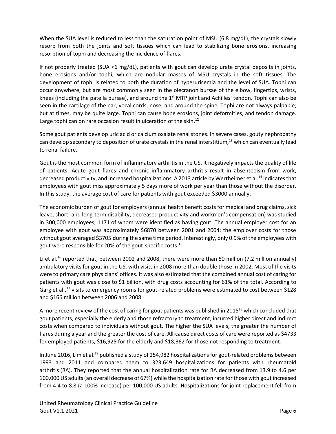When the SUA level is reduced to less than the saturation point of MSU (6.8 mg/dL), the crystals slowly resorb from both the joints and soft tissues which can lead to stabilizing bone erosions, increasing resorption of tophi and decreasing the incidence of flares.

If not properly treated (SUA <6 mg/dL), patients with gout can develop urate crystal deposits in joints, bone erosions and/or tophi, which are nodular masses of MSU crystals in the soft tissues. The development of tophi is related to both the duration of hyperuricemia and the level of SUA. Tophi can occur anywhere, but are most commonly seen in the olecranon bursae of the elbow, fingertips, wrists, knees (including the patella bursae), and around the 1<sup>st</sup> MTP joint and Achilles' tendon. Tophi can also be seen in the cartilage of the ear, vocal cords, nose, and around the spine. Tophi are not always palpable; but at times, may be quite large. Tophi can cause bone erosions, joint deformities, and tendon damage. Large tophi can on rare occasion result in ulceration of the skin.<sup>[12](#page-28-12)</sup>

Some gout patients develop uric acid or calcium oxalate renal stones. In severe cases, gouty nephropathy can develop secondary to deposition of urate crystals in the renal interstitium,<sup>[13](#page-28-13)</sup> which can eventually lead to renal failure.

Gout is the most common form of inflammatory arthritis in the US. It negatively impacts the quality of life of patients. Acute gout flares and chronic inflammatory arthritis result in absenteeism from work, decreased productivity, and increased hospitalizations. A 2013 article by Wertheimer et al.[14](#page-28-14) indicates that employees with gout miss approximately 5 days more of work per year than those without the disorder. In this study, the average cost of care for patients with gout exceeded \$3000 annually.

The economic burden of gout for employers (annual health benefit costs for medical and drug claims, sick leave, short- and long-term disability, decreased productivity and workmen's compensation) was studied in 300,000 employees, 1171 of whom were identified as having gout. The annual employer cost for an employee with gout was approximately \$6870 between 2001 and 2004; the employer costs for those without gout averaged \$3705 during the same time period. Interestingly, only 0.9% of the employees with gout were responsible for 20% of the gout-specific costs.[15](#page-28-15)

Li et al.<sup>[16](#page-29-0)</sup> reported that, between 2002 and 2008, there were more than 50 million (7.2 million annually) ambulatory visits for gout in the US, with visits in 2008 more than double those in 2002. Most of the visits were to primary care physicians' offices. It was also estimated that the combined annual cost of caring for patients with gout was close to \$1 billion, with drug costs accounting for 61% of the total. According to Garg et al.,<sup>[17](#page-29-1)</sup> visits to emergency rooms for gout-related problems were estimated to cost between \$128 and \$166 million between 2006 and 2008.

A more recent review of the cost of caring for gout patients was published in 2015<sup>[18](#page-29-2)</sup> which concluded that gout patients, especially the elderly and those refractory to treatment, incurred higher direct and indirect costs when compared to individuals without gout. The higher the SUA levels, the greater the number of flares during a year and the greater the cost of care. All-cause direct costs of care were reported as \$4733 for employed patients, \$16,925 for the elderly and \$18,362 for those not responding to treatment.

In June 2016, Lim et al.<sup>[19](#page-29-3)</sup> published a study of 254,982 hospitalizations for gout-related problems between 1993 and 2011 and compared them to 323,649 hospitalizations for patients with rheumatoid arthritis (RA). They reported that the annual hospitalization rate for RA decreased from 13.9 to 4.6 per 100,000 US adults (an overall decrease of 67%) while the hospitalization rate for those with gout increased from 4.4 to 8.8 (a 100% increase) per 100,000 US adults. Hospitalizations for joint replacement fell from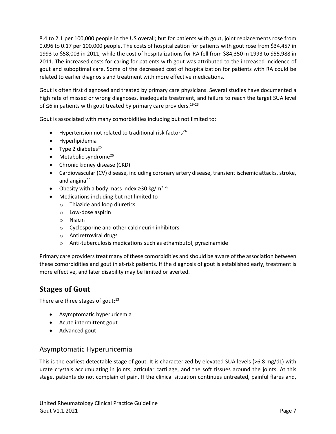8.4 to 2.1 per 100,000 people in the US overall; but for patients with gout, joint replacements rose from 0.096 to 0.17 per 100,000 people. The costs of hospitalization for patients with gout rose from \$34,457 in 1993 to \$58,003 in 2011, while the cost of hospitalizations for RA fell from \$84,350 in 1993 to \$55,988 in 2011. The increased costs for caring for patients with gout was attributed to the increased incidence of gout and suboptimal care. Some of the decreased cost of hospitalization for patients with RA could be related to earlier diagnosis and treatment with more effective medications.

Gout is often first diagnosed and treated by primary care physicians. Several studies have documented a high rate of missed or wrong diagnoses, inadequate treatment, and failure to reach the target SUA level of  $\leq$ 6 in patients with gout treated by primary care providers.<sup>[19-23](#page-29-3)</sup>

Gout is associated with many comorbidities including but not limited to:

- Hypertension not related to traditional risk factors<sup>[24](#page-29-4)</sup>
- Hyperlipidemia
- Type 2 diabetes $^{25}$  $^{25}$  $^{25}$
- $\bullet$  Metabolic syndrome<sup>[26](#page-29-6)</sup>
- Chronic kidney disease (CKD)
- Cardiovascular (CV) disease, including coronary artery disease, transient ischemic attacks, stroke, and angina $27$
- Obesity with a body mass index  $\geq$ 30 kg/m<sup>2 [28](#page-29-8)</sup>
- Medications including but not limited to
	- o Thiazide and loop diuretics
	- o Low-dose aspirin
	- o Niacin
	- o Cyclosporine and other calcineurin inhibitors
	- o Antiretroviral drugs
	- o Anti-tuberculosis medications such as ethambutol, pyrazinamide

Primary care providers treat many of these comorbidities and should be aware of the association between these comorbidities and gout in at-risk patients. If the diagnosis of gout is established early, treatment is more effective, and later disability may be limited or averted.

# <span id="page-6-0"></span>**Stages of Gout**

There are three stages of gout:<sup>[13](#page-28-13)</sup>

- Asymptomatic hyperuricemia
- Acute intermittent gout
- Advanced gout

# <span id="page-6-1"></span>Asymptomatic Hyperuricemia

This is the earliest detectable stage of gout. It is characterized by elevated SUA levels (>6.8 mg/dL) with urate crystals accumulating in joints, articular cartilage, and the soft tissues around the joints. At this stage, patients do not complain of pain. If the clinical situation continues untreated, painful flares and,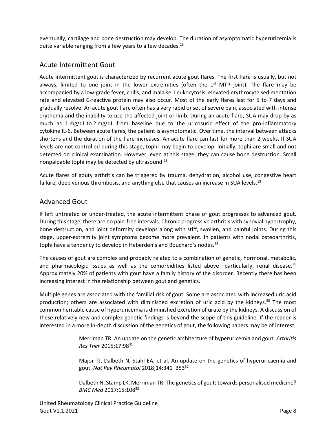eventually, cartilage and bone destruction may develop. The duration of asymptomatic hyperuricemia is quite variable ranging from a few years to a few decades.<sup>[13](#page-28-13)</sup>

### <span id="page-7-0"></span>Acute Intermittent Gout

Acute intermittent gout is characterized by recurrent acute gout flares. The first flare is usually, but not always, limited to one joint in the lower extremities (often the  $1<sup>st</sup>$  MTP joint). The flare may be accompanied by a low-grade fever, chills, and malaise. Leukocytosis, elevated erythrocyte sedimentation rate and elevated C-reactive protein may also occur. Most of the early flares last for 5 to 7 days and gradually resolve. An acute gout flare often has a very rapid onset of severe pain, associated with intense erythema and the inability to use the affected joint or limb. During an acute flare, SUA may drop by as much as 1 mg/dL to 2 mg/dL from baseline due to the uricosuric effect of the pro-inflammatory cytokine IL-6. Between acute flares, the patient is asymptomatic. Over time, the interval between attacks shortens and the duration of the flare increases. An acute flare can last for more than 2 weeks. If SUA levels are not controlled during this stage, tophi may begin to develop. Initially, tophi are small and not detected on clinical examination. However, even at this stage, they can cause bone destruction. Small nonpalpable tophi may be detected by ultrasound.<sup>[13](#page-28-13)</sup>

Acute flares of gouty arthritis can be triggered by trauma, dehydration, alcohol use, congestive heart failure, deep venous thrombosis, and anything else that causes an increase in SUA levels.<sup>[13](#page-28-13)</sup>

#### <span id="page-7-1"></span>Advanced Gout

If left untreated or under-treated, the acute intermittent phase of gout progresses to advanced gout. During this stage, there are no pain-free intervals. Chronic progressive arthritis with synovial hypertrophy, bone destruction, and joint deformity develops along with stiff, swollen, and painful joints. During this stage, upper-extremity joint symptoms become more prevalent. In patients with nodal osteoarthritis, tophi have a tendency to develop in Heberden's and Bouchard's nodes.<sup>[13](#page-28-13)</sup>

The causes of gout are complex and probably related to a combination of genetic, hormonal, metabolic, and pharmacologic issues as well as the comorbidities listed above—particularly, renal disease.<sup>[29](#page-29-9)</sup> Approximately 20% of patients with gout have a family history of the disorder. Recently there has been increasing interest in the relationship between gout and genetics.

Multiple genes are associated with the familial risk of gout. Some are associated with increased uric acid production; others are associated with diminished excretion of uric acid by the kidneys. $30$  The most common heritable cause of hyperuricemia is diminished excretion of urate by the kidneys. A discussion of these relatively new and complex genetic findings is beyond the scope of this guideline. If the reader is interested in a more in-depth discussion of the genetics of gout, the following papers may be of interest:

> Merriman TR. An update on the genetic architecture of hyperuricemia and gout. *Arthritis Res Ther* 2015;17:98<sup>[31](#page-30-0)</sup>

> Major TJ, Dalbeth N, Stahl EA, et al. An update on the genetics of hyperuricaemia and gout. *Nat Rev Rheumatol* 2018;14:341–353[32](#page-30-1)

> Dalbeth N, Stamp LK, Merriman TR. The genetics of gout: towards personalised medicine? *BMC Med* 2017;15:108<sup>[33](#page-30-2)</sup>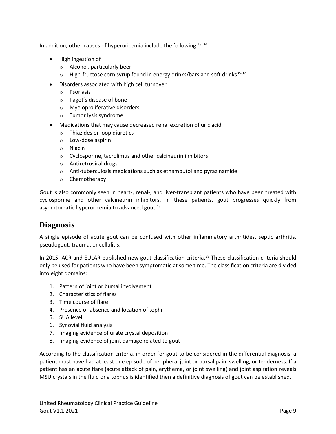In addition, other causes of hyperuricemia include the following:<sup>[13,](#page-28-13) [34](#page-30-3)</sup>

- High ingestion of
	- o Alcohol, particularly beer
	- $\circ$  High-fructose corn syrup found in energy drinks/bars and soft drinks<sup>[35-37](#page-30-4)</sup>
- Disorders associated with high cell turnover
	- o Psoriasis
	- o Paget's disease of bone
	- o Myeloproliferative disorders
	- o Tumor lysis syndrome
- Medications that may cause decreased renal excretion of uric acid
	- o Thiazides or loop diuretics
	- o Low-dose aspirin
	- o Niacin
	- o Cyclosporine, tacrolimus and other calcineurin inhibitors
	- o Antiretroviral drugs
	- o Anti-tuberculosis medications such as ethambutol and pyrazinamide
	- o Chemotherapy

Gout is also commonly seen in heart-, renal-, and liver-transplant patients who have been treated with cyclosporine and other calcineurin inhibitors. In these patients, gout progresses quickly from asymptomatic hyperuricemia to advanced gout.<sup>[13](#page-28-13)</sup>

# <span id="page-8-0"></span>**Diagnosis**

A single episode of acute gout can be confused with other inflammatory arthritides, septic arthritis, pseudogout, trauma, or cellulitis.

In 2015, ACR and EULAR published new gout classification criteria.<sup>[38](#page-30-5)</sup> These classification criteria should only be used for patients who have been symptomatic at some time. The classification criteria are divided into eight domains:

- 1. Pattern of joint or bursal involvement
- 2. Characteristics of flares
- 3. Time course of flare
- 4. Presence or absence and location of tophi
- 5. SUA level
- 6. Synovial fluid analysis
- 7. Imaging evidence of urate crystal deposition
- 8. Imaging evidence of joint damage related to gout

According to the classification criteria, in order for gout to be considered in the differential diagnosis, a patient must have had at least one episode of peripheral joint or bursal pain, swelling, or tenderness. If a patient has an acute flare (acute attack of pain, erythema, or joint swelling) and joint aspiration reveals MSU crystals in the fluid or a tophus is identified then a definitive diagnosis of gout can be established.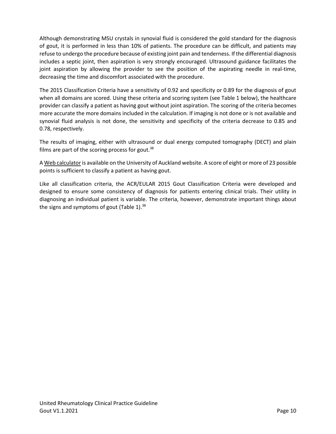Although demonstrating MSU crystals in synovial fluid is considered the gold standard for the diagnosis of gout, it is performed in less than 10% of patients. The procedure can be difficult, and patients may refuse to undergo the procedure because of existing joint pain and tenderness. If the differential diagnosis includes a septic joint, then aspiration is very strongly encouraged. Ultrasound guidance facilitates the joint aspiration by allowing the provider to see the position of the aspirating needle in real-time, decreasing the time and discomfort associated with the procedure.

The 2015 Classification Criteria have a sensitivity of 0.92 and specificity or 0.89 for the diagnosis of gout when all domains are scored. Using these criteria and scoring system (se[e Table](#page-10-0) 1 below), the healthcare provider can classify a patient as having gout without joint aspiration. The scoring of the criteria becomes more accurate the more domains included in the calculation. If imaging is not done or is not available and synovial fluid analysis is not done, the sensitivity and specificity of the criteria decrease to 0.85 and 0.78, respectively.

The results of imaging, either with ultrasound or dual energy computed tomography (DECT) and plain films are part of the scoring process for gout. $38$ 

[A Web calculator](http://goutclassificationcalculator.auckland.ac.nz/) is available on the University of Auckland website. A score of eight or more of 23 possible points is sufficient to classify a patient as having gout.

<span id="page-9-0"></span>Like all classification criteria, the ACR/EULAR 2015 Gout Classification Criteria were developed and designed to ensure some consistency of diagnosis for patients entering clinical trials. Their utility in diagnosing an individual patient is variable. The criteria, however, demonstrate important things about the signs and symptoms of gout [\(Table](#page-10-0) 1).<sup>[38](#page-30-5)</sup>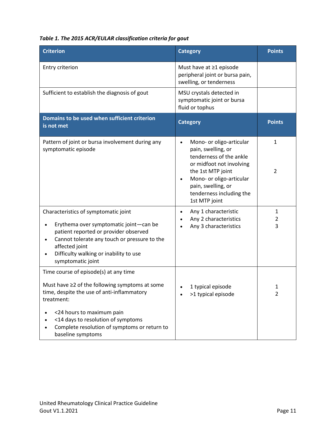<span id="page-10-0"></span>

| Table 1. The 2015 ACR/EULAR classification criteria for gout |  |  |
|--------------------------------------------------------------|--|--|
|--------------------------------------------------------------|--|--|

| <b>Criterion</b>                                                                                                                                                                                                                                                      | <b>Category</b>                                                                                                                                                                                                                        | <b>Points</b>                  |
|-----------------------------------------------------------------------------------------------------------------------------------------------------------------------------------------------------------------------------------------------------------------------|----------------------------------------------------------------------------------------------------------------------------------------------------------------------------------------------------------------------------------------|--------------------------------|
| Entry criterion                                                                                                                                                                                                                                                       | Must have at ≥1 episode<br>peripheral joint or bursa pain,<br>swelling, or tenderness                                                                                                                                                  |                                |
| Sufficient to establish the diagnosis of gout                                                                                                                                                                                                                         | MSU crystals detected in<br>symptomatic joint or bursa<br>fluid or tophus                                                                                                                                                              |                                |
| Domains to be used when sufficient criterion<br>is not met                                                                                                                                                                                                            | <b>Category</b>                                                                                                                                                                                                                        | <b>Points</b>                  |
| Pattern of joint or bursa involvement during any<br>symptomatic episode                                                                                                                                                                                               | Mono- or oligo-articular<br>$\bullet$<br>pain, swelling, or<br>tenderness of the ankle<br>or midfoot not involving<br>the 1st MTP joint<br>Mono- or oligo-articular<br>pain, swelling, or<br>tenderness including the<br>1st MTP joint | $\mathbf{1}$<br>$\overline{2}$ |
| Characteristics of symptomatic joint<br>Erythema over symptomatic joint-can be<br>patient reported or provider observed<br>Cannot tolerate any touch or pressure to the<br>$\bullet$<br>affected joint<br>Difficulty walking or inability to use<br>symptomatic joint | Any 1 characteristic<br>$\bullet$<br>Any 2 characteristics<br>Any 3 characteristics                                                                                                                                                    | $\mathbf{1}$<br>2<br>3         |
| Time course of episode(s) at any time<br>Must have ≥2 of the following symptoms at some<br>time, despite the use of anti-inflammatory<br>treatment:                                                                                                                   | 1 typical episode<br>>1 typical episode                                                                                                                                                                                                | 1<br>$\overline{2}$            |
| <24 hours to maximum pain<br><14 days to resolution of symptoms<br>Complete resolution of symptoms or return to<br>baseline symptoms                                                                                                                                  |                                                                                                                                                                                                                                        |                                |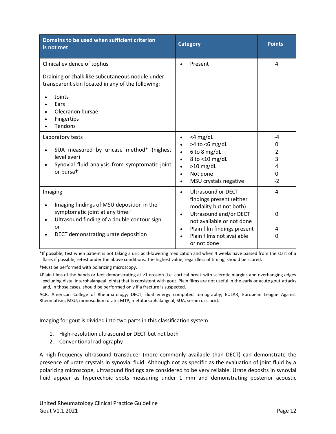| Domains to be used when sufficient criterion<br>is not met                                                                                                                                      | <b>Category</b>                                                                                                                                                                                                     | <b>Points</b>                       |
|-------------------------------------------------------------------------------------------------------------------------------------------------------------------------------------------------|---------------------------------------------------------------------------------------------------------------------------------------------------------------------------------------------------------------------|-------------------------------------|
| Clinical evidence of tophus                                                                                                                                                                     | Present                                                                                                                                                                                                             | 4                                   |
| Draining or chalk like subcutaneous nodule under<br>transparent skin located in any of the following:<br>Joints<br>Ears<br>Olecranon bursae                                                     |                                                                                                                                                                                                                     |                                     |
| Fingertips<br>Tendons                                                                                                                                                                           |                                                                                                                                                                                                                     |                                     |
| Laboratory tests<br>SUA measured by uricase method* (highest<br>level ever)<br>Synovial fluid analysis from symptomatic joint<br>or bursat                                                      | $<$ 4 mg/dL<br>$\bullet$<br>$>4$ to <6 mg/dL<br>6 to 8 mg/dL<br>8 to <10 mg/dL<br>$\bullet$<br>$>10$ mg/dL<br>$\bullet$<br>Not done<br>$\bullet$<br>MSU crystals negative<br>$\bullet$                              | -4<br>0<br>2<br>3<br>4<br>0<br>$-2$ |
| Imaging<br>Imaging findings of MSU deposition in the<br>symptomatic joint at any time: <sup>#</sup><br>Ultrasound finding of a double contour sign<br>or<br>DECT demonstrating urate deposition | <b>Ultrasound or DECT</b><br>$\bullet$<br>findings present (either<br>modality but not both)<br><b>Ultrasound and/or DECT</b><br>$\bullet$<br>not available or not done<br>Plain film findings present<br>$\bullet$ | 4<br>0<br>4                         |
|                                                                                                                                                                                                 | Plain films not available<br>or not done                                                                                                                                                                            | 0                                   |

\*If possible, test when patient is not taking a uric acid-lowering medication and when 4 weeks have passed from the start of a flare; if possible, retest under the above conditions. The highest value, regardless of timing, should be scored.

†Must be performed with polarizing microscopy.

‡Plain films of the hands or feet demonstrating at ≥1 erosion (i.e. cortical break with sclerotic margins and overhanging edges excluding distal interphalangeal joints) that is consistent with gout. Plain films are not useful in the early or acute gout attacks and, in those cases, should be performed only if a fracture is suspected.

ACR, American College of Rheumatology; DECT, dual energy computed tomography; EULAR, European League Against Rheumatism; MSU, monosodium urate; MTP, metatarsophalangeal; SUA, serum uric acid.

Imaging for gout is divided into two parts in this classification system:

- 1. High-resolution ultrasound **or** DECT but not both
- 2. Conventional radiography

A high-frequency ultrasound transducer (more commonly available than DECT) can demonstrate the presence of urate crystals in synovial fluid. Although not as specific as the evaluation of joint fluid by a polarizing microscope, ultrasound findings are considered to be very reliable. Urate deposits in synovial fluid appear as hyperechoic spots measuring under 1 mm and demonstrating posterior acoustic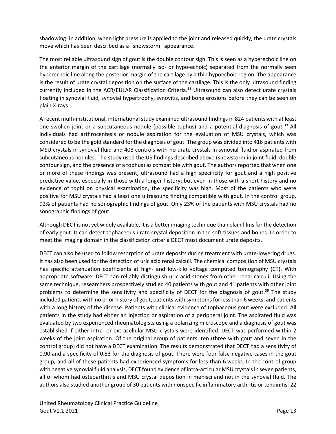shadowing. In addition, when light pressure is applied to the joint and released quickly, the urate crystals move which has been described as a "snowstorm" appearance.

The most reliable ultrasound sign of gout is the double contour sign. This is seen as a hyperechoic line on the anterior margin of the cartilage (normally iso- or hypo-echoic) separated from the normally seen hyperechoic line along the posterior margin of the cartilage by a thin hypoechoic region. The appearance is the result of urate crystal deposition on the surface of the cartilage. This is the only ultrasound finding currently included in the ACR/EULAR Classification Criteria. [38](#page-30-5) Ultrasound can also detect urate crystals floating in synovial fluid, synovial hypertrophy, synovitis, and bone erosions before they can be seen on plain X-rays.

A recent multi-institutional, international study examined ultrasound findings in 824 patients with at least one swollen joint or a subcutaneous nodule (possible tophus) and a potential diagnosis of gout.<sup>[39](#page-30-6)</sup> All individuals had arthrocentesis or nodule aspiration for the evaluation of MSU crystals, which was considered to be the gold standard for the diagnosis of gout. The group was divided into 416 patients with MSU crystals in synovial fluid and 408 controls with no urate crystals in synovial fluid or aspirated from subcutaneous nodules. The study used the US findings described above (snowstorm in joint fluid, double contour sign, and the presence of a tophus) as compatible with gout. The authors reported that when one or more of these findings was present, ultrasound had a high specificity for gout and a high positive predictive value, especially in those with a longer history; but even in those with a short history and no evidence of tophi on physical examination, the specificity was high. Most of the patients who were positive for MSU crystals had a least one ultrasound finding compatible with gout. In the control group, 92% of patients had no sonographic findings of gout. Only 23% of the patients with MSU crystals had no sonographic findings of gout. $39$ 

Although DECT is not yet widely available, it is a better imaging technique than plain films for the detection of early gout. It can detect tophaceous urate crystal deposition in the soft tissues and bones. In order to meet the imaging domain in the classification criteria DECT must document urate deposits.

DECT can also be used to follow resorption of urate deposits during treatment with urate-lowering drugs. It has also been used for the detection of uric acid renal calculi. The chemical composition of MSU crystals has specific attenuation coefficients at high- and low-kilo voltage computed tomography (CT). With appropriate software, DECT can reliably distinguish uric acid stones from other renal calculi. Using the same technique, researchers prospectively studied 40 patients with gout and 41 patients with other joint problems to determine the sensitivity and specificity of DECT for the diagnosis of gout.<sup>[39](#page-30-6)</sup> The study included patients with no prior history of gout, patients with symptoms for less than 6 weeks, and patients with a long history of the disease. Patients with clinical evidence of tophaceous gout were excluded. All patients in the study had either an injection or aspiration of a peripheral joint. The aspirated fluid was evaluated by two experienced rheumatologists using a polarizing microscope and a diagnosis of gout was established if either intra- or extracellular MSU crystals were identified. DECT was performed within 2 weeks of the joint aspiration. Of the original group of patients, ten (three with gout and seven in the control group) did not have a DECT examination. The results demonstrated that DECT had a sensitivity of 0.90 and a specificity of 0.83 for the diagnosis of gout. There were four false-negative cases in the gout group, and all of these patients had experienced symptoms for less than 6 weeks. In the control group with negative synovial fluid analysis, DECT found evidence of intra-articular MSU crystals in seven patients, all of whom had osteoarthritis and MSU crystal deposition in menisci and not in the synovial fluid. The authors also studied another group of 30 patients with nonspecific inflammatory arthritis or tendinitis; 22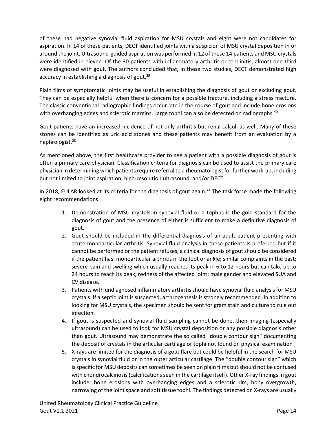of these had negative synovial fluid aspiration for MSU crystals and eight were not candidates for aspiration. In 14 of these patients, DECT identified joints with a suspicion of MSU crystal deposition in or around the joint. Ultrasound-guided aspiration was performed in 12 of these 14 patients and MSU crystals were identified in eleven. Of the 30 patients with inflammatory arthritis or tendinitis, almost one third were diagnosed with gout. The authors concluded that, in these two studies, DECT demonstrated high accuracy in establishing a diagnosis of gout.<sup>[39](#page-30-6)</sup>

Plain films of symptomatic joints may be useful in establishing the diagnosis of gout or excluding gout. They can be especially helpful when there is concern for a possible fracture, including a stress fracture. The classic conventional radiographic findings occur late in the course of gout and include bone erosions with overhanging edges and sclerotic margins. Large tophi can also be detected on radiographs.<sup>[40](#page-30-7)</sup>

Gout patients have an increased incidence of not only arthritis but renal calculi as well. Many of these stones can be identified as uric acid stones and these patients may benefit from an evaluation by a nephrologist.[28](#page-29-8)

As mentioned above, the first healthcare provider to see a patient with a possible diagnosis of gout is often a primary care physician. Classification criteria for diagnosis can be used to assist the primary care physician in determining which patients require referral to a rheumatologist for further work-up, including but not limited to joint aspiration, high-resolution ultrasound, and/or DECT.

In 2018, EULAR looked at its criteria for the diagnosis of gout again.<sup>[41](#page-30-8)</sup> The task force made the following eight recommendations:

- 1. Demonstration of MSU crystals in synovial fluid or a tophus is the gold standard for the diagnosis of gout and the presence of either is sufficient to make a definitive diagnosis of gout.
- 2. Gout should be included in the differential diagnosis of an adult patient presenting with acute monoarticular arthritis. Synovial fluid analysis in these patients is preferred but if it cannot be performed or the patient refuses, a clinical diagnosis of gout should be considered if the patient has: monoarticular arthritis in the foot or ankle; similar complaints in the past; severe pain and swelling which usually reaches its peak in 6 to 12 hours but can take up to 24 hours to reach its peak; redness of the affected joint; male gender and elevated SUA and CV disease.
- 3. Patients with undiagnosed inflammatory arthritis should have synovial fluid analysis for MSU crystals. If a septic joint is suspected, arthrocentesis is strongly recommended. In addition to looking for MSU crystals, the specimen should be sent for gram stain and culture to rule out infection.
- 4. If gout is suspected and synovial fluid sampling cannot be done, then imaging (especially ultrasound) can be used to look for MSU crystal deposition or any possible diagnosis other than gout. Ultrasound may demonstrate the so called "double contour sign" documenting the deposit of crystals in the articular cartilage or tophi not found on physical examination
- 5. X-rays are limited for the diagnosis of a gout flare but could be helpful in the search for MSU crystals in synovial fluid or in the outer articular cartilage. The "double contour sign" which is specific for MSU deposits can sometimes be seen on plain films but should not be confused with chondrocalcinosis (calcifications seen in the cartilage itself). Other X-ray findings in gout include: bone erosions with overhanging edges and a sclerotic rim, bony overgrowth, narrowing of the joint space and soft tissue tophi. The findings detected on X-rays are usually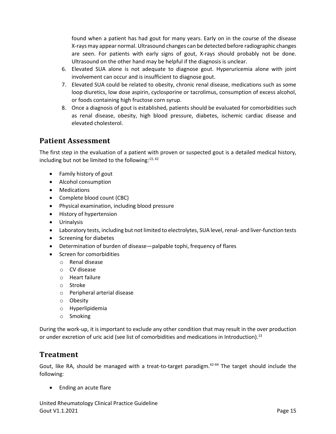found when a patient has had gout for many years. Early on in the course of the disease X-rays may appear normal. Ultrasound changes can be detected before radiographic changes are seen. For patients with early signs of gout, X-rays should probably not be done. Ultrasound on the other hand may be helpful if the diagnosis is unclear.

- 6. Elevated SUA alone is not adequate to diagnose gout. Hyperuricemia alone with joint involvement can occur and is insufficient to diagnose gout.
- 7. Elevated SUA could be related to obesity, chronic renal disease, medications such as some loop diuretics, low dose aspirin, cyclosporine or tacrolimus, consumption of excess alcohol, or foods containing high fructose corn syrup.
- 8. Once a diagnosis of gout is established, patients should be evaluated for comorbidities such as renal disease, obesity, high blood pressure, diabetes, ischemic cardiac disease and elevated cholesterol.

# <span id="page-14-0"></span>**Patient Assessment**

The first step in the evaluation of a patient with proven or suspected gout is a detailed medical history, including but not be limited to the following:<sup>[13,](#page-28-13) [42](#page-30-9)</sup>

- Family history of gout
- Alcohol consumption
- Medications
- Complete blood count (CBC)
- Physical examination, including blood pressure
- History of hypertension
- Urinalysis
- Laboratory tests, including but not limited to electrolytes, SUA level, renal- and liver-function tests
- Screening for diabetes
- Determination of burden of disease—palpable tophi, frequency of flares
- Screen for comorbidities
	- o Renal disease
	- o CV disease
	- o Heart failure
	- o Stroke
	- o Peripheral arterial disease
	- o Obesity
	- o Hyperlipidemia
	- o Smoking

During the work-up, it is important to exclude any other condition that may result in the over production or under excretion of uric acid (see list of comorbidities and medications in Introduction).<sup>[13](#page-28-13)</sup>

# <span id="page-14-1"></span>**Treatment**

Gout, like RA, should be managed with a treat-to-target paradigm.<sup>[42-44](#page-30-9)</sup> The target should include the following:

• Ending an acute flare

United Rheumatology Clinical Practice Guideline Gout V1.1.2021 **Page 15**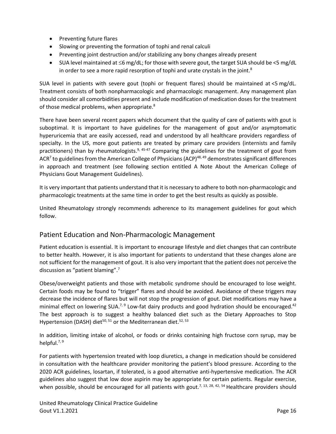- Preventing future flares
- Slowing or preventing the formation of tophi and renal calculi
- Preventing joint destruction and/or stabilizing any bony changes already present
- SUA level maintained at  $\leq 6$  mg/dL; for those with severe gout, the target SUA should be  $\leq 5$  mg/dL in order to see a more rapid resorption of tophi and urate crystals in the joint. $^8$  $^8$

SUA level in patients with severe gout (tophi or frequent flares) should be maintained at <5 mg/dL. Treatment consists of both nonpharmacologic and pharmacologic management. Any management plan should consider all comorbidities present and include modification of medication doses for the treatment of those medical problems, when appropriate[.](#page-28-8) ${}^{8}$ 

There have been several recent papers which document that the quality of care of patients with gout is suboptimal. It is important to have guidelines for the management of gout and/or asymptomatic hyperuricemia that are easily accessed, read and understood by all healthcare providers regardless of specialty. In the US, more gout patients are treated by primary care providers (internists and family practitioners) than by rheumatologists.<sup>[9,](#page-28-9) [45-47](#page-30-10)</sup> Comparing the guidelines for the treatment of gout from AC[R](#page-28-7)<sup>7</sup> to guidelines from the American College of Physicians (ACP)<sup>[48,](#page-31-0) [49](#page-31-1)</sup> demonstrates significant differences in approach and treatment (see following section entitled A Note About the American College of Physicians Gout Management Guidelines).

It is very important that patients understand that it is necessary to adhere to both non-pharmacologic and pharmacologic treatments at the same time in order to get the best results as quickly as possible.

United Rheumatology strongly recommends adherence to its management guidelines for gout which follow.

#### <span id="page-15-0"></span>Patient Education and Non-Pharmacologic Management

Patient education is essential. It is important to encourage lifestyle and diet changes that can contribute to better health. However, it is also important for patients to understand that these changes alone are not sufficient for the management of gout. It is also very important that the patient does not perceive the discussion as "patient blaming".<sup>[7](#page-28-7)</sup>

Obese/overweight patients and those with metabolic syndrome should be encouraged to lose weight. Certain foods may be found to "trigger" flares and should be avoided. Avoidance of these triggers may decrease the incidence of flares but will not stop the progression of gout. Diet modifications may have a minimal effect on lowering SUA.<sup>[7,](#page-28-7) [9](#page-28-9)</sup> Low-fat dairy products and good hydration should be encouraged.<sup>[42](#page-30-9)</sup> The best approach is to suggest a healthy balanced diet such as the Dietary Approaches to Stop Hypertension (DASH) diet<sup>[50,](#page-31-2) [51](#page-31-3)</sup> or the Mediterranean diet.<sup>[52,](#page-31-4) [53](#page-31-5)</sup>

In addition, limiting intake of alcohol, or foods or drinks containing high fructose corn syrup, may be helpful.<sup>[7,](#page-28-7) [9](#page-28-9)</sup>

For patients with hypertension treated with loop diuretics, a change in medication should be considered in consultation with the healthcare provider monitoring the patient's blood pressure. According to the 2020 ACR guidelines, losartan, if tolerated, is a good alternative anti-hypertensive medication. The ACR guidelines also suggest that low dose aspirin may be appropriate for certain patients. Regular exercise, when possible, should be encouraged for all patients with gout.<sup>[7,](#page-28-7) [13,](#page-28-13) [28,](#page-29-8) [42,](#page-30-9) [54](#page-31-6)</sup> Healthcare providers should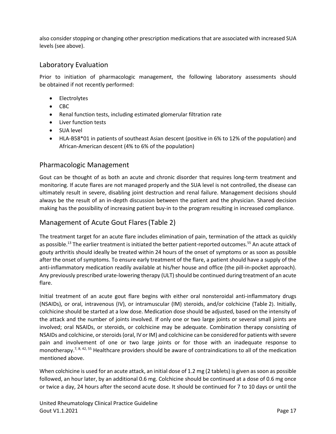also consider stopping or changing other prescription medications that are associated with increased SUA levels (see above).

# <span id="page-16-0"></span>Laboratory Evaluation

Prior to initiation of pharmacologic management, the following laboratory assessments should be obtained if not recently performed:

- Electrolytes
- CBC
- Renal function tests, including estimated glomerular filtration rate
- Liver function tests
- SUA level
- HLA-B58\*01 in patients of southeast Asian descent (positive in 6% to 12% of the population) and African-American descent (4% to 6% of the population)

#### <span id="page-16-1"></span>Pharmacologic Management

Gout can be thought of as both an acute and chronic disorder that requires long-term treatment and monitoring. If acute flares are not managed properly and the SUA level is not controlled, the disease can ultimately result in severe, disabling joint destruction and renal failure. Management decisions should always be the result of an in-depth discussion between the patient and the physician. Shared decision making has the possibility of increasing patient buy-in to the program resulting in increased compliance.

#### <span id="page-16-2"></span>Management of Acute Gout Flares[\(Table](#page-23-0) 2)

The treatment target for an acute flare includes elimination of pain, termination of the attack as quickly as possible.<sup>[13](#page-28-13)</sup> The earlier treatment is initiated the better patient-reported outcomes.<sup>[55](#page-31-7)</sup> An acute attack of gouty arthritis should ideally be treated within 24 hours of the onset of symptoms or as soon as possible after the onset of symptoms. To ensure early treatment of the flare, a patient should have a supply of the anti-inflammatory medication readily available at his/her house and office (the pill-in-pocket approach). Any previously prescribed urate-lowering therapy (ULT) should be continued during treatment of an acute flare.

Initial treatment of an acute gout flare begins with either oral nonsteroidal anti-inflammatory drugs (NSAIDs), or oral, intravenous (IV), or intramuscular (IM) steroids, and/or colchicine [\(Table](#page-23-0) 2). Initially, colchicine should be started at a low dose. Medication dose should be adjusted, based on the intensity of the attack and the number of joints involved. If only one or two large joints or several small joints are involved; oral NSAIDs, or steroids, or colchicine may be adequate. Combination therapy consisting of NSAIDs and colchicine, or steroids(oral, IV or IM) and colchicine can be considered for patients with severe pain and involvement of one or two large joints or for those with an inadequate response to monotherapy.<sup>[7,](#page-28-7) [8,](#page-28-8) [42,](#page-30-9) [55](#page-31-7)</sup> Healthcare providers should be aware of contraindications to all of the medication mentioned above.

When colchicine is used for an acute attack, an initial dose of 1.2 mg (2 tablets) is given as soon as possible followed, an hour later, by an additional 0.6 mg. Colchicine should be continued at a dose of 0.6 mg once or twice a day, 24 hours after the second acute dose. It should be continued for 7 to 10 days or until the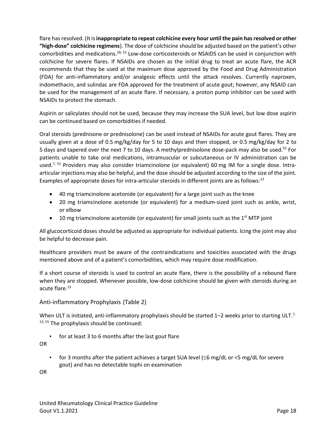flare has resolved. (It is **inappropriate to repeat colchicine every hour until the pain has resolved or other "high-dose" colchicine regimens**). The dose of colchicine should be adjusted based on the patient's other comorbidities and medications.<sup>[28,](#page-29-8) [55](#page-31-7)</sup> Low-dose corticosteroids or NSAIDS can be used in conjunction with colchicine for severe flares. If NSAIDs are chosen as the initial drug to treat an acute flare, the ACR recommends that they be used at the maximum dose approved by the Food and Drug Administration (FDA) for anti-inflammatory and/or analgesic effects until the attack resolves. Currently naproxen, indomethacin, and sulindac are FDA approved for the treatment of acute gout; however, any NSAID can be used for the management of an acute flare. If necessary, a proton pump inhibitor can be used with NSAIDs to protect the stomach.

Aspirin or salicylates should not be used, because they may increase the SUA level, but low dose aspirin can be continued based on comorbidities if needed.

Oral steroids (prednisone or prednisolone) can be used instead of NSAIDs for acute gout flares. They are usually given at a dose of 0.5 mg/kg/day for 5 to 10 days and then stopped, or 0.5 mg/kg/day for 2 to 5 days and tapered over the next 7 to 10 days. A methylprednisolone dose-pack may also be used.<sup>[55](#page-31-7)</sup> For patients unable to take oral medications, intramuscular or subcutaneous or IV administration can be used.<sup>[7,](#page-28-7) [55](#page-31-7)</sup> Providers may also consider triamcinolone (or equivalent) 60 mg IM for a single dose. Intraarticular injections may also be helpful, and the dose should be adjusted according to the size of the joint. Examples of appropriate doses for intra-articular steroids in different joints are as follows:<sup>[13](#page-28-13)</sup>

- 40 mg triamcinolone acetonide (or equivalent) for a large joint such as the knee
- 20 mg triamcinolone acetonide (or equivalent) for a medium-sized joint such as ankle, wrist, or elbow
- $\bullet$  10 mg triamcinolone acetonide (or equivalent) for small joints such as the 1<sup>st</sup> MTP joint

All glucocorticoid doses should be adjusted as appropriate for individual patients. Icing the joint may also be helpful to decrease pain.

Healthcare providers must be aware of the contraindications and toxicities associated with the drugs mentioned above and of a patient's comorbidities, which may require dose modification.

If a short course of steroids is used to control an acute flare, there is the possibility of a rebound flare when they are stopped. Whenever possible, low-dose colchicine should be given with steroids during an acute flare. [13](#page-28-13)

#### <span id="page-17-0"></span>Anti-inflammatory Prophylaxis [\(Table](#page-23-0) 2)

When ULT is initiated, anti-inflammatory prophylaxis should be started 1–2 weeks prior to starting ULT.<sup>7,</sup>  $13, 55$  $13, 55$  The prophylaxis should be continued:

for at least 3 to 6 months after the last gout flare

OR

for 3 months after the patient achieves a target SUA level ( $\leq$ 6 mg/dL or  $\lt$ 5 mg/dL for severe gout) and has no detectable tophi on examination

OR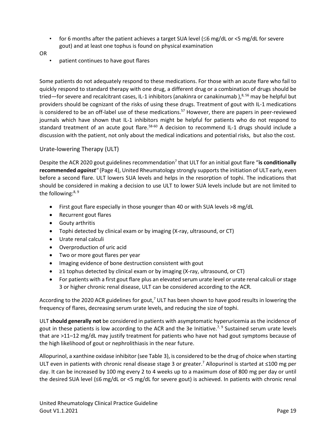- for 6 months after the patient achieves a target SUA level ( $\leq 6$  mg/dL or  $\lt 5$  mg/dL for severe gout) and at least one tophus is found on physical examination
- OR
- patient continues to have gout flares

Some patients do not adequately respond to these medications. For those with an acute flare who fail to quickly respond to standard therapy with one drug, a different drug or a combination of drugs should be tried—for severe and recalcitrant cases, IL-1 inhibitors (anakinra or canakinumab ),<sup>[8,](#page-28-8) [56](#page-31-8)</sup> may be helpful but providers should be cognizant of the risks of using these drugs. Treatment of gout with IL-1 medications is considered to be an off-label use of these medications. [57](#page-31-9) However, there are papers in peer-reviewed journals which have shown that IL-1 inhibitors might be helpful for patients who do not respond to standard treatment of an acute gout flare.<sup>[58-60](#page-31-10)</sup> A decision to recommend IL-1 drugs should include a discussion with the patient, not only about the medical indications and potential risks, but also the cost.

#### <span id="page-18-0"></span>Urate-lowering Therapy (ULT)

Despite the ACR 2020 gout guidelines recommendation<sup>[7](#page-28-7)</sup> that ULT for an initial gout flare "is conditionally **recommended** *against"* (Page 4), United Rheumatology strongly supports the initiation of ULT early, even before a second flare. ULT lowers SUA levels and helps in the resorption of tophi. The indications that should be considered in making a decision to use ULT to lower SUA levels include but are not limited to the following:<sup>[8,](#page-28-8) [9](#page-28-9)</sup>

- First gout flare especially in those younger than 40 or with SUA levels >8 mg/dL
- Recurrent gout flares
- Gouty arthritis
- Tophi detected by clinical exam or by imaging (X-ray, ultrasound, or CT)
- Urate renal calculi
- Overproduction of uric acid
- Two or more gout flares per year
- Imaging evidence of bone destruction consistent with gout
- ≥1 tophus detected by clinical exam or by imaging (X-ray, ultrasound, or CT)
- For patients with a first gout flare plus an elevated serum urate level or urate renal calculi or stage 3 or higher chronic renal disease, ULT can be considered according to the ACR.

According to the 2020 ACR guidelines for gout,<sup>[7](#page-28-7)</sup> ULT has been shown to have good results in lowering the frequency of flares, decreasing serum urate levels, and reducing the size of tophi.

ULT **should generally not** be considered in patients with asymptomatic hyperuricemia as the incidence of gout in these patients is low according to the ACR and the 3e Initiative.<sup>[7,](#page-28-7) [9](#page-28-9)</sup> Sustained serum urate levels that are >11–12 mg/dL may justify treatment for patients who have not had gout symptoms because of the high likelihood of gout or nephrolithiasis in the near future.

Allopurinol, a xanthine oxidase inhibitor (se[e Table](#page-24-0) 3), is considered to be the drug of choice when starting ULT even in patients with chronic renal disease stage 3 or greater.<sup>[7](#page-28-7)</sup> Allopurinol is started at ≤100 mg per day. It can be increased by 100 mg every 2 to 4 weeks up to a maximum dose of 800 mg per day or until the desired SUA level (≤6 mg/dL or <5 mg/dL for severe gout) is achieved. In patients with chronic renal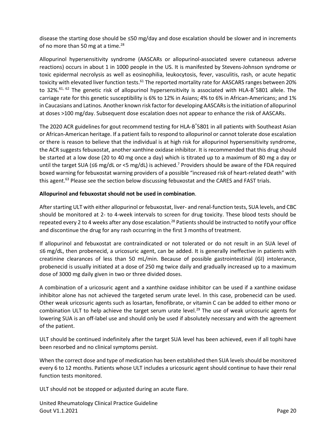disease the starting dose should be ≤50 mg/day and dose escalation should be slower and in increments of no more than 50 mg at a time.<sup>[28](#page-29-8)</sup>

Allopurinol hypersensitivity syndrome (AASCARs or allopurinol-associated severe cutaneous adverse reactions) occurs in about 1 in 1000 people in the US. It is manifested by Stevens-Johnson syndrome or toxic epidermal necrolysis as well as eosinophilia, leukocytosis, fever, vasculitis, rash, or acute hepatic toxicity with elevated liver function tests.<sup>[61](#page-31-11)</sup> The reported mortality rate for AASCARS ranges between 20% to 32%.<sup>[61,](#page-31-11) [62](#page-32-0)</sup> The genetic risk of allopurinol hypersensitivity is associated with HLA-B<sup>\*</sup>5801 allele. The carriage rate for this genetic susceptibility is 6% to 12% in Asians; 4% to 6% in African-Americans; and 1% in Caucasians and Latinos. Another known risk factor for developing AASCARs is the initiation of allopurinol at doses >100 mg/day. Subsequent dose escalation does not appear to enhance the risk of AASCARs.

The 2020 ACR guidelines for gout recommend testing for HLA-B \*5801 in all patients with Southeast Asian or African-American heritage. If a patient fails to respond to allopurinol or cannot tolerate dose escalation or there is reason to believe that the individual is at high risk for allopurinol hypersensitivity syndrome, the ACR suggests febuxostat, another xanthine oxidase inhibitor. It is recommended that this drug should be started at a low dose (20 to 40 mg once a day) which is titrated up to a maximum of 80 mg a day or until the target SUA (≤6 mg/dL or <5 mg/dL) is achieved.<sup>[7](#page-28-7)</sup> Providers should be aware of the FDA required boxed warning for febuxostat warning providers of a possible "increased risk of heart-related death" with this agent.<sup>[63](#page-32-1)</sup> Please see the section below discussing febuxostat and the CARES and FAST trials.

#### **Allopurinol and febuxostat should not be used in combination**.

After starting ULT with either allopurinol or febuxostat, liver- and renal-function tests, SUA levels, and CBC should be monitored at 2- to 4-week intervals to screen for drug toxicity. These blood tests should be repeated every 2 to 4 weeks after any dose escalation.<sup>[28](#page-29-8)</sup> Patients should be instructed to notify your office and discontinue the drug for any rash occurring in the first 3 months of treatment.

If allopurinol and febuxostat are contraindicated or not tolerated or do not result in an SUA level of ≤6 mg/dL, then probenecid, a uricosuric agent, can be added. It is generally ineffective in patients with creatinine clearances of less than 50 mL/min. Because of possible gastrointestinal (GI) intolerance, probenecid is usually initiated at a dose of 250 mg twice daily and gradually increased up to a maximum dose of 3000 mg daily given in two or three divided doses.

A combination of a uricosuric agent and a xanthine oxidase inhibitor can be used if a xanthine oxidase inhibitor alone has not achieved the targeted serum urate level. In this case, probenecid can be used. Other weak uricosuric agents such as losartan, fenofibrate, or vitamin C can be added to either mono or combination ULT to help achieve the target serum urate level.<sup>[29](#page-29-9)</sup> The use of weak uricosuric agents for lowering SUA is an off-label use and should only be used if absolutely necessary and with the agreement of the patient.

ULT should be continued indefinitely after the target SUA level has been achieved, even if all tophi have been resorbed and no clinical symptoms persist.

When the correct dose and type of medication has been established then SUA levels should be monitored every 6 to 12 months. Patients whose ULT includes a uricosuric agent should continue to have their renal function tests monitored.

ULT should not be stopped or adjusted during an acute flare.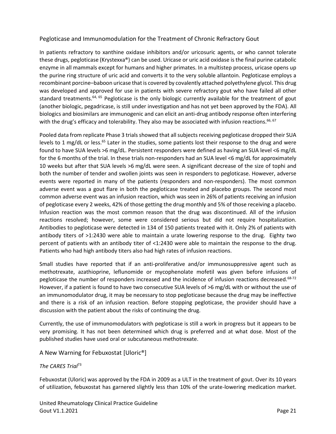#### <span id="page-20-0"></span>Pegloticase and Immunomodulation for the Treatment of Chronic Refractory Gout

In patients refractory to xanthine oxidase inhibitors and/or uricosuric agents, or who cannot tolerate these drugs, pegloticase (Krystexxa®) can be used. Uricase or uric acid oxidase is the final purine catabolic enzyme in all mammals except for humans and higher primates. In a multistep process, uricase opens up the purine ring structure of uric acid and converts it to the very soluble allantoin. Pegloticase employs a recombinant porcine–baboon uricase that is covered by covalently attached polyethylene glycol. This drug was developed and approved for use in patients with severe refractory gout who have failed all other standard treatments.<sup>[64,](#page-32-2) [65](#page-32-3)</sup> Pegloticase is the only biologic currently available for the treatment of gout (another biologic, pegadricase, is still under investigation and has not yet been approved by the FDA). All biologics and biosimilars are immunogenic and can elicit an anti-drug antibody response often interfering with the drug's efficacy and tolerability. They also may be associated with infusion reactions.<sup>[66,](#page-32-4) [67](#page-32-5)</sup>

Pooled data from replicate Phase 3 trials showed that all subjects receiving pegloticase dropped their SUA levels to 1 mg/dL or less.<sup>[65](#page-32-3)</sup> Later in the studies, some patients lost their response to the drug and were found to have SUA levels >6 mg/dL. Persistent responders were defined as having an SUA level <6 mg/dL for the 6 months of the trial. In these trials non-responders had an SUA level <6 mg/dL for approximately 10 weeks but after that SUA levels >6 mg/dL were seen. A significant decrease of the size of tophi and both the number of tender and swollen joints was seen in responders to pegloticase. However, adverse events were reported in many of the patients (responders and non-responders). The most common adverse event was a gout flare in both the pegloticase treated and placebo groups. The second most common adverse event was an infusion reaction, which was seen in 26% of patients receiving an infusion of pegloticase every 2 weeks, 42% of those getting the drug monthly and 5% of those receiving a placebo. Infusion reaction was the most common reason that the drug was discontinued. All of the infusion reactions resolved; however, some were considered serious but did not require hospitalization. Antibodies to pegloticase were detected in 134 of 150 patients treated with it. Only 2% of patients with antibody titers of >1:2430 were able to maintain a urate lowering response to the drug. Eighty two percent of patients with an antibody titer of <1:2430 were able to maintain the response to the drug. Patients who had high antibody titers also had high rates of infusion reactions.

Small studies have reported that if an anti-proliferative and/or immunosuppressive agent such as methotrexate, azathioprine, leflunomide or mycophenolate mofetil was given before infusions of pegloticase the number of responders increased and the incidence of infusion reactions decreased.<sup>[68-72](#page-32-6)</sup> However, if a patient is found to have two consecutive SUA levels of >6 mg/dL with or without the use of an immunomodulator drug, it may be necessary to stop pegloticase because the drug may be ineffective and there is a risk of an infusion reaction. Before stopping pegloticase, the provider should have a discussion with the patient about the risks of continuing the drug.

Currently, the use of immunomodulators with pegloticase is still a work in progress but it appears to be very promising. It has not been determined which drug is preferred and at what dose. Most of the published studies have used oral or subcutaneous methotrexate.

<span id="page-20-1"></span>A New Warning for Febuxostat [Uloric®]

#### <span id="page-20-2"></span>*The CARES Trial*[73](#page-32-7)

Febuxostat (Uloric) was approved by the FDA in 2009 as a ULT in the treatment of gout. Over its 10 years of utilization, febuxostat has garnered slightly less than 10% of the urate-lowering medication market.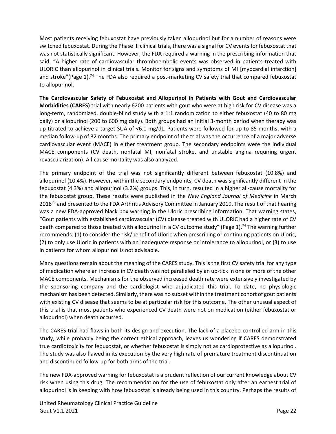Most patients receiving febuxostat have previously taken allopurinol but for a number of reasons were switched febuxostat. During the Phase III clinical trials, there was a signal for CV events for febuxostat that was not statistically significant. However, the FDA required a warning in the prescribing information that said, "A higher rate of cardiovascular thromboembolic events was observed in patients treated with ULORIC than allopurinol in clinical trials. Monitor for signs and symptoms of MI [myocardial infarction] and stroke"(Page 1).<sup>[74](#page-32-8)</sup> The FDA also required a post-marketing CV safety trial that compared febuxostat to allopurinol.

**The Cardiovascular Safety of Febuxostat and Allopurinol in Patients with Gout and Cardiovascular Morbidities (CARES)** trial with nearly 6200 patients with gout who were at high risk for CV disease was a long-term, randomized, double-blind study with a 1:1 randomization to either febuxostat (40 to 80 mg daily) or allopurinol (200 to 600 mg daily). Both groups had an initial 3-month period when therapy was up-titrated to achieve a target SUA of <6.0 mg/dL. Patients were followed for up to 85 months, with a median follow-up of 32 months. The primary endpoint of the trial was the occurrence of a major adverse cardiovascular event (MACE) in either treatment group. The secondary endpoints were the individual MACE components (CV death, nonfatal MI, nonfatal stroke, and unstable angina requiring urgent revascularization). All-cause mortality was also analyzed.

The primary endpoint of the trial was not significantly different between febuxostat (10.8%) and allopurinol (10.4%). However, within the secondary endpoints, CV death was significantly different in the febuxostat (4.3%) and allopurinol (3.2%) groups. This, in turn, resulted in a higher all-cause mortality for the febuxostat group. These results were published in the *New England Journal of Medicine* in March 2018<sup>[73](#page-32-7)</sup> and presented to the FDA Arthritis Advisory Committee in January 2019. The result of that hearing was a new FDA-approved black box warning in the Uloric prescribing information. That warning states, "Gout patients with established cardiovascular (CV) disease treated with ULORIC had a higher rate of CV death compared to those treated with allopurinol in a CV outcome study" (Page 1).<sup>[74](#page-32-8)</sup> The warning further recommends: (1) to consider the risk/benefit of Uloric when prescribing or continuing patients on Uloric, (2) to only use Uloric in patients with an inadequate response or intolerance to allopurinol, or (3) to use in patients for whom allopurinol is not advisable.

Many questions remain about the meaning of the CARES study. This is the first CV safety trial for any type of medication where an increase in CV death was not paralleled by an up-tick in one or more of the other MACE components. Mechanisms for the observed increased death rate were extensively investigated by the sponsoring company and the cardiologist who adjudicated this trial. To date, no physiologic mechanism has been detected. Similarly, there was no subset within the treatment cohort of gout patients with existing CV disease that seems to be at particular risk for this outcome. The other unusual aspect of this trial is that most patients who experienced CV death were not on medication (either febuxostat or allopurinol) when death occurred.

The CARES trial had flaws in both its design and execution. The lack of a placebo-controlled arm in this study, while probably being the correct ethical approach, leaves us wondering if CARES demonstrated true cardiotoxicity for febuxostat, or whether febuxostat is simply not as cardioprotective as allopurinol. The study was also flawed in its execution by the very high rate of premature treatment discontinuation and discontinued follow-up for both arms of the trial.

The new FDA-approved warning for febuxostat is a prudent reflection of our current knowledge about CV risk when using this drug. The recommendation for the use of febuxostat only after an earnest trial of allopurinol is in keeping with how febuxostat is already being used in this country. Perhaps the results of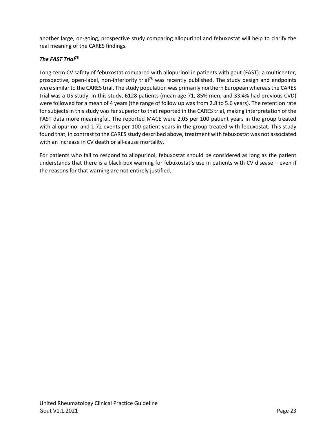another large, on-going, prospective study comparing allopurinol and febuxostat will help to clarify the real meaning of the CARES findings.

#### <span id="page-22-0"></span>*The FAST Trial***[75](#page-32-9)**

Long-term CV safety of febuxostat compared with allopurinol in patients with gout (FAST): a multicenter, prospective, open-label, non-inferiority trial<sup>[75](#page-32-9)</sup> was recently published. The study design and endpoints were similar to the CARES trial. The study population was primarily northern European whereas the CARES trial was a US study. In this study, 6128 patients (mean age 71, 85% men, and 33.4% had previous CVD) were followed for a mean of 4 years (the range of follow up was from 2.8 to 5.6 years). The retention rate for subjects in this study was far superior to that reported in the CARES trial, making interpretation of the FAST data more meaningful. The reported MACE were 2.05 per 100 patient years in the group treated with allopurinol and 1.72 events per 100 patient years in the group treated with febuxostat. This study found that, in contrast to the CARES study described above, treatment with febuxostat was not associated with an increase in CV death or all-cause mortality.

For patients who fail to respond to allopurinol, febuxostat should be considered as long as the patient understands that there is a black-box warning for febuxostat's use in patients with CV disease – even if the reasons for that warning are not entirely justified.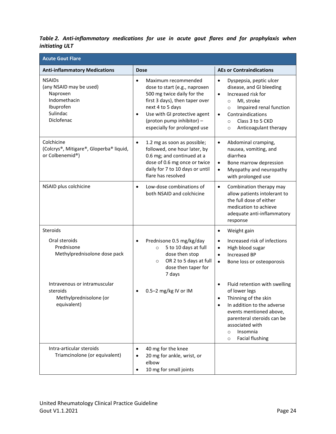<span id="page-23-0"></span>

|                | Table 2. Anti-inflammatory medications for use in acute gout flares and for prophylaxis when |  |  |  |  |  |  |
|----------------|----------------------------------------------------------------------------------------------|--|--|--|--|--|--|
| initiating ULT |                                                                                              |  |  |  |  |  |  |

| <b>Acute Gout Flare</b>                                                                                     |                                                                                                                                                                                                                                                                 |                                                                                                                                                                                                                                                                         |
|-------------------------------------------------------------------------------------------------------------|-----------------------------------------------------------------------------------------------------------------------------------------------------------------------------------------------------------------------------------------------------------------|-------------------------------------------------------------------------------------------------------------------------------------------------------------------------------------------------------------------------------------------------------------------------|
| <b>Anti-inflammatory Medications</b>                                                                        | <b>Dose</b>                                                                                                                                                                                                                                                     | <b>AEs or Contraindications</b>                                                                                                                                                                                                                                         |
| <b>NSAIDs</b><br>(any NSAID may be used)<br>Naproxen<br>Indomethacin<br>Ibuprofen<br>Sulindac<br>Diclofenac | $\bullet$<br>Maximum recommended<br>dose to start (e.g., naproxen<br>500 mg twice daily for the<br>first 3 days), then taper over<br>next 4 to 5 days<br>Use with GI protective agent<br>$\bullet$<br>(proton pump inhibitor) -<br>especially for prolonged use | Dyspepsia, peptic ulcer<br>$\bullet$<br>disease, and GI bleeding<br>Increased risk for<br>$\bullet$<br>MI, stroke<br>$\circ$<br>Impaired renal function<br>$\circ$<br>Contraindications<br>$\bullet$<br>Class 3 to 5 CKD<br>$\circ$<br>Anticoagulant therapy<br>$\circ$ |
| Colchicine<br>(Colcrys®, Mitigare®, Gloperba® liquid,<br>or Colbenemid®)                                    | 1.2 mg as soon as possible;<br>$\bullet$<br>followed, one hour later, by<br>0.6 mg; and continued at a<br>dose of 0.6 mg once or twice<br>daily for 7 to 10 days or until<br>flare has resolved                                                                 | Abdominal cramping,<br>$\bullet$<br>nausea, vomiting, and<br>diarrhea<br>Bone marrow depression<br>$\bullet$<br>Myopathy and neuropathy<br>$\bullet$<br>with prolonged use                                                                                              |
| NSAID plus colchicine                                                                                       | Low-dose combinations of<br>$\bullet$<br>both NSAID and colchicine                                                                                                                                                                                              | Combination therapy may<br>$\bullet$<br>allow patients intolerant to<br>the full dose of either<br>medication to achieve<br>adequate anti-inflammatory<br>response                                                                                                      |
| Steroids                                                                                                    |                                                                                                                                                                                                                                                                 | Weight gain<br>$\bullet$                                                                                                                                                                                                                                                |
| Oral steroids<br>Prednisone<br>Methylprednisolone dose pack                                                 | Prednisone 0.5 mg/kg/day<br>$\bullet$<br>5 to 10 days at full<br>$\circ$<br>dose then stop<br>OR 2 to 5 days at full<br>$\circ$<br>dose then taper for<br>7 days                                                                                                | Increased risk of infections<br>$\bullet$<br>High blood sugar<br>$\bullet$<br><b>Increased BP</b><br>$\bullet$<br>Bone loss or osteoporosis<br>$\bullet$                                                                                                                |
| Intravenous or intramuscular<br>steroids<br>Methylprednisolone (or<br>equivalent)                           | 0.5-2 mg/kg IV or IM<br>$\bullet$                                                                                                                                                                                                                               | Fluid retention with swelling<br>$\bullet$<br>of lower legs<br>Thinning of the skin<br>In addition to the adverse<br>$\bullet$<br>events mentioned above,<br>parenteral steroids can be<br>associated with<br>Insomnia<br>$\circ$<br><b>Facial flushing</b><br>$\circ$  |
| Intra-articular steroids<br>Triamcinolone (or equivalent)                                                   | 40 mg for the knee<br>$\bullet$<br>20 mg for ankle, wrist, or<br>٠<br>elbow<br>10 mg for small joints<br>$\bullet$                                                                                                                                              |                                                                                                                                                                                                                                                                         |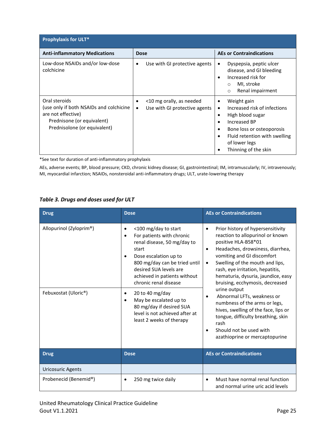| <b>Prophylaxis for ULT*</b>                                                                                                                  |                                                                             |                                                                                                                                                                                                                            |  |  |  |  |  |
|----------------------------------------------------------------------------------------------------------------------------------------------|-----------------------------------------------------------------------------|----------------------------------------------------------------------------------------------------------------------------------------------------------------------------------------------------------------------------|--|--|--|--|--|
| <b>Anti-inflammatory Medications</b>                                                                                                         | <b>Dose</b>                                                                 | <b>AEs or Contraindications</b>                                                                                                                                                                                            |  |  |  |  |  |
| Low-dose NSAIDs and/or low-dose<br>colchicine                                                                                                | Use with GI protective agents<br>$\bullet$                                  | Dyspepsia, peptic ulcer<br>٠<br>disease, and GI bleeding<br>Increased risk for<br>MI, stroke<br>$\circ$<br>Renal impairment<br>$\circ$                                                                                     |  |  |  |  |  |
| Oral steroids<br>(use only if both NSAIDs and colchicine<br>are not effective)<br>Prednisone (or equivalent)<br>Prednisolone (or equivalent) | <10 mg orally, as needed<br>٠<br>Use with GI protective agents<br>$\bullet$ | Weight gain<br>٠<br>Increased risk of infections<br>$\bullet$<br>High blood sugar<br>٠<br>Increased BP<br>$\bullet$<br>Bone loss or osteoporosis<br>Fluid retention with swelling<br>of lower legs<br>Thinning of the skin |  |  |  |  |  |

\*See text for duration of anti-inflammatory prophylaxis

AEs, adverse events; BP, blood pressure; CKD, chronic kidney disease; GI, gastrointestinal; IM, intramuscularly; IV, intravenously; MI, myocardial infarction; NSAIDs, nonsteroidal anti-inflammatory drugs; ULT, urate-lowering therapy

#### <span id="page-24-0"></span>*Table 3. Drugs and doses used for ULT*

| <b>Drug</b>                                     | <b>Dose</b>                                                                                                                                                                                                                                                                                                                                                                                                  | <b>AEs or Contraindications</b>                                                                                                                                                                                                                                                                                                                                                                                                                                                                                                                                            |
|-------------------------------------------------|--------------------------------------------------------------------------------------------------------------------------------------------------------------------------------------------------------------------------------------------------------------------------------------------------------------------------------------------------------------------------------------------------------------|----------------------------------------------------------------------------------------------------------------------------------------------------------------------------------------------------------------------------------------------------------------------------------------------------------------------------------------------------------------------------------------------------------------------------------------------------------------------------------------------------------------------------------------------------------------------------|
| Allopurinol (Zyloprim®)<br>Febuxostat (Uloric®) | <100 mg/day to start<br>٠<br>For patients with chronic<br>renal disease, 50 mg/day to<br>start<br>Dose escalation up to<br>$\bullet$<br>800 mg/day can be tried until<br>desired SUA levels are<br>achieved in patients without<br>chronic renal disease<br>20 to 40 mg/day<br>$\bullet$<br>May be escalated up to<br>80 mg/day if desired SUA<br>level is not achieved after at<br>least 2 weeks of therapy | Prior history of hypersensitivity<br>$\bullet$<br>reaction to allopurinol or known<br>positive HLA-B58*01<br>Headaches, drowsiness, diarrhea,<br>$\bullet$<br>vomiting and GI discomfort<br>Swelling of the mouth and lips,<br>rash, eye irritation, hepatitis,<br>hematuria, dysuria, jaundice, easy<br>bruising, ecchymosis, decreased<br>urine output<br>Abnormal LFTs, weakness or<br>numbness of the arms or legs,<br>hives, swelling of the face, lips or<br>tongue, difficulty breathing, skin<br>rash<br>Should not be used with<br>azathioprine or mercaptopurine |
| <b>Drug</b>                                     | <b>Dose</b>                                                                                                                                                                                                                                                                                                                                                                                                  | <b>AEs or Contraindications</b>                                                                                                                                                                                                                                                                                                                                                                                                                                                                                                                                            |
| <b>Uricosuric Agents</b>                        |                                                                                                                                                                                                                                                                                                                                                                                                              |                                                                                                                                                                                                                                                                                                                                                                                                                                                                                                                                                                            |
| Probenecid (Benemid®)                           | 250 mg twice daily<br>$\bullet$                                                                                                                                                                                                                                                                                                                                                                              | Must have normal renal function<br>$\bullet$<br>and normal urine uric acid levels                                                                                                                                                                                                                                                                                                                                                                                                                                                                                          |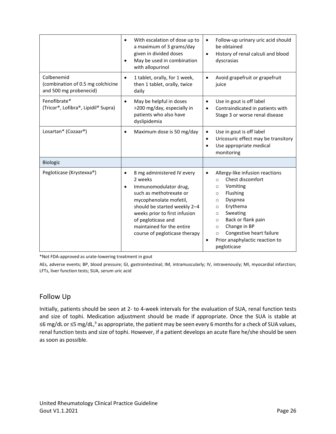|                                                                           | With escalation of dose up to<br>$\bullet$<br>a maximum of 3 grams/day<br>given in divided doses<br>May be used in combination<br>$\bullet$<br>with allopurinol                                                                                                                                    | Follow-up urinary uric acid should<br>be obtained<br>History of renal calculi and blood<br>$\bullet$<br>dyscrasias                                                                                                                                                                                                                               |  |  |
|---------------------------------------------------------------------------|----------------------------------------------------------------------------------------------------------------------------------------------------------------------------------------------------------------------------------------------------------------------------------------------------|--------------------------------------------------------------------------------------------------------------------------------------------------------------------------------------------------------------------------------------------------------------------------------------------------------------------------------------------------|--|--|
| Colbenemid<br>(combination of 0.5 mg colchicine<br>and 500 mg probenecid) | 1 tablet, orally, for 1 week,<br>$\bullet$<br>then 1 tablet, orally, twice<br>daily                                                                                                                                                                                                                | Avoid grapefruit or grapefruit<br>$\bullet$<br>juice                                                                                                                                                                                                                                                                                             |  |  |
| Fenofibrate*<br>(Tricor®, Lofibra®, Lipidil® Supra)                       | May be helpful in doses<br>$\bullet$<br>>200 mg/day, especially in<br>patients who also have<br>dyslipidemia                                                                                                                                                                                       | Use in gout is off label<br>Contraindicated in patients with<br>$\bullet$<br>Stage 3 or worse renal disease                                                                                                                                                                                                                                      |  |  |
| Losartan* (Cozaar®)                                                       | Maximum dose is 50 mg/day<br>$\bullet$                                                                                                                                                                                                                                                             | Use in gout is off label<br>Uricosuric effect may be transitory<br>٠<br>Use appropriate medical<br>$\bullet$<br>monitoring                                                                                                                                                                                                                       |  |  |
| Biologic                                                                  |                                                                                                                                                                                                                                                                                                    |                                                                                                                                                                                                                                                                                                                                                  |  |  |
| Pegloticase (Krystexxa®)                                                  | 8 mg administered IV every<br>$\bullet$<br>2 weeks<br>Immunomodulator drug,<br>$\bullet$<br>such as methotrexate or<br>mycophenolate mofetil,<br>should be started weekly 2-4<br>weeks prior to first infusion<br>of pegloticase and<br>maintained for the entire<br>course of pegloticase therapy | Allergy-like infusion reactions<br>٠<br>Chest discomfort<br>$\circ$<br>Vomiting<br>$\circ$<br>Flushing<br>O<br>Dyspnea<br>$\circ$<br>Erythema<br>$\circ$<br>Sweating<br>$\circ$<br>Back or flank pain<br>$\circ$<br>Change in BP<br>$\circ$<br>Congestive heart failure<br>$\circ$<br>Prior anaphylactic reaction to<br>$\bullet$<br>pegloticase |  |  |

\*Not FDA-approved as urate-lowering treatment in gout

AEs, adverse events; BP, blood pressure; GI, gastrointestinal; IM, intramuscularly; IV, intravenously; MI, myocardial infarction; LFTs, liver function tests; SUA, serum uric acid

# <span id="page-25-0"></span>Follow Up

Initially, patients should be seen at 2- to 4-week intervals for the evaluation of SUA, renal function tests and size of tophi. Medication adjustment should be made if appropriate. Once the SUA is stable at ≤6 mg/dL or ≤5 mg/dL[,](#page-28-9)<sup>9</sup> as appropriate, the patient may be seen every 6 months for a check of SUA values, renal function tests and size of tophi. However, if a patient develops an acute flare he/she should be seen as soon as possible.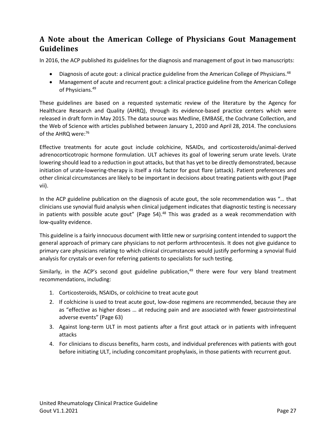# <span id="page-26-0"></span>**A Note about the American College of Physicians Gout Management Guidelines**

In 2016, the ACP published its guidelines for the diagnosis and management of gout in two manuscripts:

- Diagnosis of acute gout: a clinical practice guideline from the American College of Physicians. $48$
- Management of acute and recurrent gout: a clinical practice guideline from the American College of Physicians.<sup>[49](#page-31-1)</sup>

These guidelines are based on a requested systematic review of the literature by the Agency for Healthcare Research and Quality (AHRQ), through its evidence-based practice centers which were released in draft form in May 2015. The data source was Medline, EMBASE, the Cochrane Collection, and the Web of Science with articles published between January 1, 2010 and April 28, 2014. The conclusions of the AHRQ were: [76](#page-33-0)

Effective treatments for acute gout include colchicine, NSAIDs, and corticosteroids/animal-derived adrenocorticotropic hormone formulation. ULT achieves its goal of lowering serum urate levels. Urate lowering should lead to a reduction in gout attacks, but that has yet to be directly demonstrated, because initiation of urate-lowering-therapy is itself a risk factor for gout flare (attack). Patient preferences and other clinical circumstances are likely to be important in decisions about treating patients with gout (Page vii).

In the ACP guideline publication on the diagnosis of acute gout, the sole recommendation was "… that clinicians use synovial fluid analysis when clinical judgement indicates that diagnostic testing is necessary in patients with possible acute gout" (Page 54).<sup>[48](#page-31-0)</sup> This was graded as a weak recommendation with low-quality evidence.

This guideline is a fairly innocuous document with little new or surprising content intended to support the general approach of primary care physicians to not perform arthrocentesis. It does not give guidance to primary care physicians relating to which clinical circumstances would justify performing a synovial fluid analysis for crystals or even for referring patients to specialists for such testing.

Similarly, in the ACP's second gout guideline publication,<sup>[49](#page-31-1)</sup> there were four very bland treatment recommendations, including:

- 1. Corticosteroids, NSAIDs, or colchicine to treat acute gout
- 2. If colchicine is used to treat acute gout, low-dose regimens are recommended, because they are as "effective as higher doses … at reducing pain and are associated with fewer gastrointestinal adverse events" (Page 63)
- 3. Against long-term ULT in most patients after a first gout attack or in patients with infrequent attacks
- 4. For clinicians to discuss benefits, harm costs, and individual preferences with patients with gout before initiating ULT, including concomitant prophylaxis, in those patients with recurrent gout.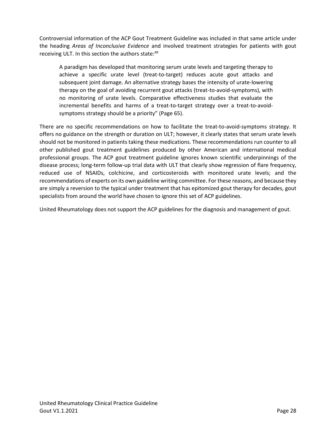Controversial information of the ACP Gout Treatment Guideline was included in that same article under the heading *Areas of Inconclusive Evidence* and involved treatment strategies for patients with gout receiving ULT. In this section the authors state:<sup>[49](#page-31-1)</sup>

A paradigm has developed that monitoring serum urate levels and targeting therapy to achieve a specific urate level (treat-to-target) reduces acute gout attacks and subsequent joint damage. An alternative strategy bases the intensity of urate-lowering therapy on the goal of avoiding recurrent gout attacks (treat-to-avoid-symptoms), with no monitoring of urate levels. Comparative effectiveness studies that evaluate the incremental benefits and harms of a treat-to-target strategy over a treat-to-avoidsymptoms strategy should be a priority" (Page 65).

There are no specific recommendations on how to facilitate the treat-to-avoid-symptoms strategy. It offers no guidance on the strength or duration on ULT; however, it clearly states that serum urate levels should not be monitored in patients taking these medications. These recommendations run counter to all other published gout treatment guidelines produced by other American and international medical professional groups. The ACP gout treatment guideline ignores known scientific underpinnings of the disease process; long-term follow-up trial data with ULT that clearly show regression of flare frequency, reduced use of NSAIDs, colchicine, and corticosteroids with monitored urate levels; and the recommendations of experts on its own guideline writing committee. For these reasons, and because they are simply a reversion to the typical under treatment that has epitomized gout therapy for decades, gout specialists from around the world have chosen to ignore this set of ACP guidelines.

United Rheumatology does not support the ACP guidelines for the diagnosis and management of gout.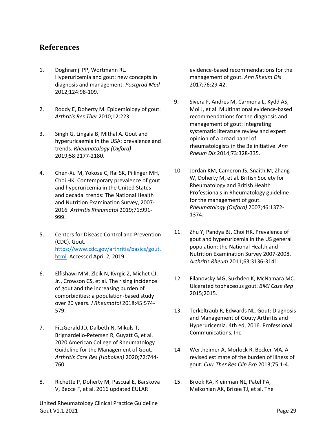# <span id="page-28-0"></span>**References**

- <span id="page-28-1"></span>1. Doghramji PP, Wortmann RL. Hyperuricemia and gout: new concepts in diagnosis and management. *Postgrad Med*  2012;124:98-109.
- <span id="page-28-2"></span>2. Roddy E, Doherty M. Epidemiology of gout. *Arthritis Res Ther* 2010;12:223.
- <span id="page-28-3"></span>3. Singh G, Lingala B, Mithal A. Gout and hyperuricaemia in the USA: prevalence and trends. *Rheumatology (Oxford)*  2019;58:2177-2180.
- <span id="page-28-4"></span>4. Chen-Xu M, Yokose C, Rai SK, Pillinger MH, Choi HK. Contemporary prevalence of gout and hyperuricemia in the United States and decadal trends: The National Health and Nutrition Examination Survey, 2007- 2016. *Arthritis Rheumatol* 2019;71:991- 999.
- <span id="page-28-5"></span>5. Centers for Disease Control and Prevention (CDC). Gout. [https://www.cdc.gov/arthritis/basics/gout.](https://www.cdc.gov/arthritis/basics/gout.html) [html.](https://www.cdc.gov/arthritis/basics/gout.html) Accessed April 2, 2019.
- <span id="page-28-6"></span>6. Elfishawi MM, Zleik N, Kvrgic Z, Michet CJ, Jr., Crowson CS, et al. The rising incidence of gout and the increasing burden of comorbidities: a population-based study over 20 years. *J Rheumatol* 2018;45:574- 579.
- <span id="page-28-7"></span>7. FitzGerald JD, Dalbeth N, Mikuls T, Brignardello-Petersen R, Guyatt G, et al. 2020 American College of Rheumatology Guideline for the Management of Gout. *Arthritis Care Res (Hoboken)* 2020;72:744- 760.
- <span id="page-28-8"></span>8. Richette P, Doherty M, Pascual E, Barskova V, Becce F, et al. 2016 updated EULAR

United Rheumatology Clinical Practice Guideline Gout V1.1.2021 **Page 29** 

evidence-based recommendations for the management of gout. *Ann Rheum Dis*  2017;76:29-42.

- <span id="page-28-9"></span>9. Sivera F, Andres M, Carmona L, Kydd AS, Moi J, et al. Multinational evidence-based recommendations for the diagnosis and management of gout: integrating systematic literature review and expert opinion of a broad panel of rheumatologists in the 3e initiative. *Ann Rheum Dis* 2014;73:328-335.
- <span id="page-28-10"></span>10. Jordan KM, Cameron JS, Snaith M, Zhang W, Doherty M, et al. British Society for Rheumatology and British Health Professionals in Rheumatology guideline for the management of gout. *Rheumatology (Oxford)* 2007;46:1372- 1374.
- <span id="page-28-11"></span>11. Zhu Y, Pandya BJ, Choi HK. Prevalence of gout and hyperuricemia in the US general population: the National Health and Nutrition Examination Survey 2007-2008. *Arthritis Rheum* 2011;63:3136-3141.
- <span id="page-28-12"></span>12. Filanovsky MG, Sukhdeo K, McNamara MC. Ulcerated tophaceous gout. *BMJ Case Rep*  2015;2015.
- <span id="page-28-13"></span>13. Terkeltraub R, Edwards NL. Gout: Diagnosis and Management of Gouty Arthritis and Hyperuricemia. 4th ed, 2016. Professional Communications, Inc.
- <span id="page-28-14"></span>14. Wertheimer A, Morlock R, Becker MA. A revised estimate of the burden of illness of gout. *Curr Ther Res Clin Exp* 2013;75:1-4.
- <span id="page-28-15"></span>15. Brook RA, Kleinman NL, Patel PA, Melkonian AK, Brizee TJ, et al. The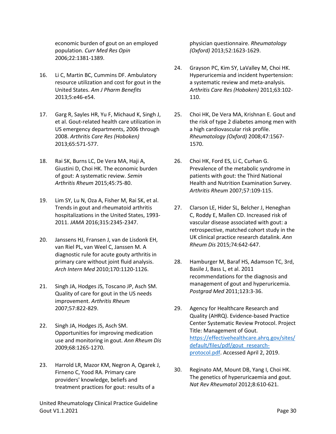economic burden of gout on an employed population. *Curr Med Res Opin*  2006;22:1381-1389.

- <span id="page-29-0"></span>16. Li C, Martin BC, Cummins DF. Ambulatory resource utilization and cost for gout in the United States. *Am J Pharm Benefits*  2013;5:e46-e54.
- <span id="page-29-1"></span>17. Garg R, Sayles HR, Yu F, Michaud K, Singh J, et al. Gout-related health care utilization in US emergency departments, 2006 through 2008. *Arthritis Care Res (Hoboken)*  2013;65:571-577.
- <span id="page-29-2"></span>18. Rai SK, Burns LC, De Vera MA, Haji A, Giustini D, Choi HK. The economic burden of gout: A systematic review. *Semin Arthritis Rheum* 2015;45:75-80.
- <span id="page-29-3"></span>19. Lim SY, Lu N, Oza A, Fisher M, Rai SK, et al. Trends in gout and rheumatoid arthritis hospitalizations in the United States, 1993- 2011. *JAMA* 2016;315:2345-2347.
- 20. Janssens HJ, Fransen J, van de Lisdonk EH, van Riel PL, van Weel C, Janssen M. A diagnostic rule for acute gouty arthritis in primary care without joint fluid analysis. *Arch Intern Med* 2010;170:1120-1126.
- 21. Singh JA, Hodges JS, Toscano JP, Asch SM. Quality of care for gout in the US needs improvement. *Arthritis Rheum*  2007;57:822-829.
- 22. Singh JA, Hodges JS, Asch SM. Opportunities for improving medication use and monitoring in gout. *Ann Rheum Dis*  2009;68:1265-1270.
- 23. Harrold LR, Mazor KM, Negron A, Ogarek J, Firneno C, Yood RA. Primary care providers' knowledge, beliefs and treatment practices for gout: results of a

United Rheumatology Clinical Practice Guideline Gout V1.1.2021 **Page 30** 

physician questionnaire. *Rheumatology (Oxford)* 2013;52:1623-1629.

- <span id="page-29-4"></span>24. Grayson PC, Kim SY, LaValley M, Choi HK. Hyperuricemia and incident hypertension: a systematic review and meta-analysis. *Arthritis Care Res (Hoboken)* 2011;63:102- 110.
- <span id="page-29-5"></span>25. Choi HK, De Vera MA, Krishnan E. Gout and the risk of type 2 diabetes among men with a high cardiovascular risk profile. *Rheumatology (Oxford)* 2008;47:1567- 1570.
- <span id="page-29-6"></span>26. Choi HK, Ford ES, Li C, Curhan G. Prevalence of the metabolic syndrome in patients with gout: the Third National Health and Nutrition Examination Survey. *Arthritis Rheum* 2007;57:109-115.
- <span id="page-29-7"></span>27. Clarson LE, Hider SL, Belcher J, Heneghan C, Roddy E, Mallen CD. Increased risk of vascular disease associated with gout: a retrospective, matched cohort study in the UK clinical practice research datalink. *Ann Rheum Dis* 2015;74:642-647.
- <span id="page-29-8"></span>28. Hamburger M, Baraf HS, Adamson TC, 3rd, Basile J, Bass L, et al. 2011 recommendations for the diagnosis and management of gout and hyperuricemia. *Postgrad Med* 2011;123:3-36.
- <span id="page-29-9"></span>29. Agency for Healthcare Research and Quality (AHRQ). Evidence-based Practice Center Systematic Review Protocol. Project Title: Management of Gout. [https://effectivehealthcare.ahrq.gov/sites/](https://effectivehealthcare.ahrq.gov/sites/default/files/pdf/gout_research-protocol.pdf) [default/files/pdf/gout\\_research](https://effectivehealthcare.ahrq.gov/sites/default/files/pdf/gout_research-protocol.pdf)[protocol.pdf.](https://effectivehealthcare.ahrq.gov/sites/default/files/pdf/gout_research-protocol.pdf) Accessed April 2, 2019.
- <span id="page-29-10"></span>30. Reginato AM, Mount DB, Yang I, Choi HK. The genetics of hyperuricaemia and gout. *Nat Rev Rheumatol* 2012;8:610-621.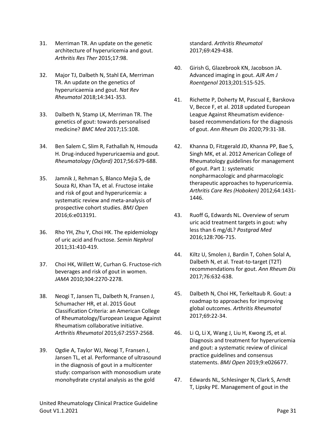- <span id="page-30-0"></span>31. Merriman TR. An update on the genetic architecture of hyperuricemia and gout. *Arthritis Res Ther* 2015;17:98.
- <span id="page-30-1"></span>32. Major TJ, Dalbeth N, Stahl EA, Merriman TR. An update on the genetics of hyperuricaemia and gout. *Nat Rev Rheumatol* 2018;14:341-353.
- <span id="page-30-2"></span>33. Dalbeth N, Stamp LK, Merriman TR. The genetics of gout: towards personalised medicine? *BMC Med* 2017;15:108.
- <span id="page-30-3"></span>34. Ben Salem C, Slim R, Fathallah N, Hmouda H. Drug-induced hyperuricaemia and gout. *Rheumatology (Oxford)* 2017;56:679-688.
- <span id="page-30-4"></span>35. Jamnik J, Rehman S, Blanco Mejia S, de Souza RJ, Khan TA, et al. Fructose intake and risk of gout and hyperuricemia: a systematic review and meta-analysis of prospective cohort studies. *BMJ Open*  2016;6:e013191.
- 36. Rho YH, Zhu Y, Choi HK. The epidemiology of uric acid and fructose. *Semin Nephrol*  2011;31:410-419.
- 37. Choi HK, Willett W, Curhan G. Fructose-rich beverages and risk of gout in women. *JAMA* 2010;304:2270-2278.
- <span id="page-30-5"></span>38. Neogi T, Jansen TL, Dalbeth N, Fransen J, Schumacher HR, et al. 2015 Gout Classification Criteria: an American College of Rheumatology/European League Against Rheumatism collaborative initiative. *Arthritis Rheumatol* 2015;67:2557-2568.
- <span id="page-30-6"></span>39. Ogdie A, Taylor WJ, Neogi T, Fransen J, Jansen TL, et al. Performance of ultrasound in the diagnosis of gout in a multicenter study: comparison with monosodium urate monohydrate crystal analysis as the gold

standard. *Arthritis Rheumatol*  2017;69:429-438.

- <span id="page-30-7"></span>40. Girish G, Glazebrook KN, Jacobson JA. Advanced imaging in gout. *AJR Am J Roentgenol* 2013;201:515-525.
- <span id="page-30-8"></span>41. Richette P, Doherty M, Pascual E, Barskova V, Becce F, et al. 2018 updated European League Against Rheumatism evidencebased recommendations for the diagnosis of gout. *Ann Rheum Dis* 2020;79:31-38.
- <span id="page-30-9"></span>42. Khanna D, Fitzgerald JD, Khanna PP, Bae S, Singh MK, et al. 2012 American College of Rheumatology guidelines for management of gout. Part 1: systematic nonpharmacologic and pharmacologic therapeutic approaches to hyperuricemia. *Arthritis Care Res (Hoboken)* 2012;64:1431- 1446.
- 43. Ruoff G, Edwards NL. Overview of serum uric acid treatment targets in gout: why less than 6 mg/dL? *Postgrad Med*  2016;128:706-715.
- 44. Kiltz U, Smolen J, Bardin T, Cohen Solal A, Dalbeth N, et al. Treat-to-target (T2T) recommendations for gout. *Ann Rheum Dis*  2017;76:632-638.
- <span id="page-30-10"></span>45. Dalbeth N, Choi HK, Terkeltaub R. Gout: a roadmap to approaches for improving global outcomes. *Arthritis Rheumatol*  2017;69:22-34.
- 46. Li Q, Li X, Wang J, Liu H, Kwong JS, et al. Diagnosis and treatment for hyperuricemia and gout: a systematic review of clinical practice guidelines and consensus statements. *BMJ Open* 2019;9:e026677.
- 47. Edwards NL, Schlesinger N, Clark S, Arndt T, Lipsky PE. Management of gout in the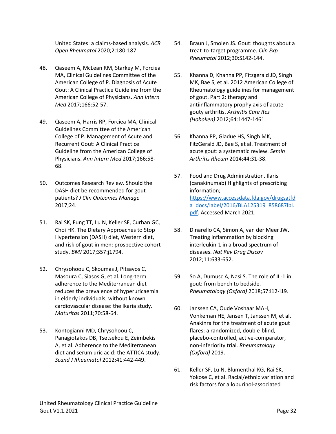United States: a claims-based analysis. *ACR Open Rheumatol* 2020;2:180-187.

- <span id="page-31-0"></span>48. Qaseem A, McLean RM, Starkey M, Forciea MA, Clinical Guidelines Committee of the American College of P. Diagnosis of Acute Gout: A Clinical Practice Guideline from the American College of Physicians. *Ann Intern Med* 2017;166:52-57.
- <span id="page-31-1"></span>49. Qaseem A, Harris RP, Forciea MA, Clinical Guidelines Committee of the American College of P. Management of Acute and Recurrent Gout: A Clinical Practice Guideline from the American College of Physicians. *Ann Intern Med* 2017;166:58- 68.
- <span id="page-31-2"></span>50. Outcomes Research Review. Should the DASH diet be recommended for gout patients? *J Clin Outcomes Manage*  2017;24.
- <span id="page-31-3"></span>51. Rai SK, Fung TT, Lu N, Keller SF, Curhan GC, Choi HK. The Dietary Approaches to Stop Hypertension (DASH) diet, Western diet, and risk of gout in men: prospective cohort study. *BMJ* 2017;357:j1794.
- <span id="page-31-4"></span>52. Chrysohoou C, Skoumas J, Pitsavos C, Masoura C, Siasos G, et al. Long-term adherence to the Mediterranean diet reduces the prevalence of hyperuricaemia in elderly individuals, without known cardiovascular disease: the Ikaria study. *Maturitas* 2011;70:58-64.
- <span id="page-31-5"></span>53. Kontogianni MD, Chrysohoou C, Panagiotakos DB, Tsetsekou E, Zeimbekis A, et al. Adherence to the Mediterranean diet and serum uric acid: the ATTICA study. *Scand J Rheumatol* 2012;41:442-449.
- <span id="page-31-6"></span>54. Braun J, Smolen JS. Gout: thoughts about a treat-to-target programme. *Clin Exp Rheumatol* 2012;30:S142-144.
- <span id="page-31-7"></span>55. Khanna D, Khanna PP, Fitzgerald JD, Singh MK, Bae S, et al. 2012 American College of Rheumatology guidelines for management of gout. Part 2: therapy and antiinflammatory prophylaxis of acute gouty arthritis. *Arthritis Care Res (Hoboken)* 2012;64:1447-1461.
- <span id="page-31-8"></span>56. Khanna PP, Gladue HS, Singh MK, FitzGerald JD, Bae S, et al. Treatment of acute gout: a systematic review. *Semin Arthritis Rheum* 2014;44:31-38.
- <span id="page-31-9"></span>57. Food and Drug Administration. Ilaris (canakinumab) Highlights of prescribing information; [https://www.accessdata.fda.gov/drugsatfd](https://www.accessdata.fda.gov/drugsatfda_docs/label/2016/BLA125319_858687lbl.pdf) [a\\_docs/label/2016/BLA125319\\_858687lbl.](https://www.accessdata.fda.gov/drugsatfda_docs/label/2016/BLA125319_858687lbl.pdf) [pdf.](https://www.accessdata.fda.gov/drugsatfda_docs/label/2016/BLA125319_858687lbl.pdf) Accessed March 2021.
- <span id="page-31-10"></span>58. Dinarello CA, Simon A, van der Meer JW. Treating inflammation by blocking interleukin-1 in a broad spectrum of diseases. *Nat Rev Drug Discov*  2012;11:633-652.
- 59. So A, Dumusc A, Nasi S. The role of IL-1 in gout: from bench to bedside. *Rheumatology (Oxford)* 2018;57:i12-i19.
- 60. Janssen CA, Oude Voshaar MAH, Vonkeman HE, Jansen T, Janssen M, et al. Anakinra for the treatment of acute gout flares: a randomized, double-blind, placebo-controlled, active-comparator, non-inferiority trial. *Rheumatology (Oxford)* 2019.
- <span id="page-31-11"></span>61. Keller SF, Lu N, Blumenthal KG, Rai SK, Yokose C, et al. Racial/ethnic variation and risk factors for allopurinol-associated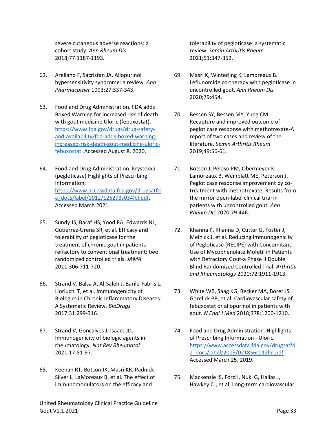severe cutaneous adverse reactions: a cohort study. *Ann Rheum Dis*  2018;77:1187-1193.

- <span id="page-32-0"></span>62. Arellano F, Sacristan JA. Allopurinol hypersensitivity syndrome: a review. *Ann Pharmacother* 1993;27:337-343.
- <span id="page-32-1"></span>63. Food and Drug Administration. FDA adds Boxed Warning for increased risk of death with gout medicine Uloric (febuxostat). [https://www.fda.gov/drugs/drug-safety](https://www.fda.gov/drugs/drug-safety-and-availability/fda-adds-boxed-warning-increased-risk-death-gout-medicine-uloric-febuxostat)[and-availability/fda-adds-boxed-warning](https://www.fda.gov/drugs/drug-safety-and-availability/fda-adds-boxed-warning-increased-risk-death-gout-medicine-uloric-febuxostat)[increased-risk-death-gout-medicine-uloric](https://www.fda.gov/drugs/drug-safety-and-availability/fda-adds-boxed-warning-increased-risk-death-gout-medicine-uloric-febuxostat)[febuxostat.](https://www.fda.gov/drugs/drug-safety-and-availability/fda-adds-boxed-warning-increased-risk-death-gout-medicine-uloric-febuxostat) Accessed August 8, 2020.
- <span id="page-32-2"></span>64. Food and Drug Administration. Krystexxa (pegloticase) Highlights of Prescribing Information; [https://www.accessdata.fda.gov/drugsatfd](https://www.accessdata.fda.gov/drugsatfda_docs/label/2012/125293s034lbl.pdf) [a\\_docs/label/2012/125293s034lbl.pdf.](https://www.accessdata.fda.gov/drugsatfda_docs/label/2012/125293s034lbl.pdf) Accessed March 2021.
- <span id="page-32-3"></span>65. Sundy JS, Baraf HS, Yood RA, Edwards NL, Gutierrez-Urena SR, et al. Efficacy and tolerability of pegloticase for the treatment of chronic gout in patients refractory to conventional treatment: two randomized controlled trials. *JAMA*  2011;306:711-720.
- <span id="page-32-4"></span>66. Strand V, Balsa A, Al-Saleh J, Barile-Fabris L, Horiuchi T, et al. Immunogenicity of Biologics in Chronic Inflammatory Diseases: A Systematic Review. *BioDrugs*  2017;31:299-316.
- <span id="page-32-5"></span>67. Strand V, Goncalves J, Isaacs JD. Immunogenicity of biologic agents in rheumatology. *Nat Rev Rheumatol*  2021;17:81-97.
- <span id="page-32-6"></span>68. Keenan RT, Botson JK, Masri KR, Padnick-Silver L, LaMoreaux B, et al. The effect of immunomodulators on the efficacy and

United Rheumatology Clinical Practice Guideline Gout V1.1.2021 **Page 33** 

tolerability of pegloticase: a systematic review. *Semin Arthritis Rheum*  2021;51:347-352.

- 69. Masri K, Winterling K, Lamoreaux B. Leflunomide co-therapy with pegloticase in uncontrolled gout. *Ann Rheum Dis*  2020;79:454.
- 70. Bessen SY, Bessen MY, Yung CM. Recapture and improved outcome of pegloticase response with methotrexate-A report of two cases and review of the literature. *Semin Arthritis Rheum*  2019;49:56-61.
- 71. Botson J, Peloso PM, Obermeyer K, Lamoreaux B, Weinblatt ME, Peterson J. Pegloticase response improvement by cotreatment with methotrexate: Results from the mirror open-label clinical trial in patients with uncontrolled gout. *Ann Rheum Dis* 2020;79:446.
- 72. Khanna P, Khanna D, Cutter G, Foster J, Melnick J, et al. Reducing Immunogenicity of Pegloticase (RECIPE) with Concomitant Use of Mycophenolate Mofetil in Patients with Refractory Gout-a Phase II Double Blind Randomized Controlled Trial. *Arthritis and Rheumatology* 2020;72:1911-1913.
- <span id="page-32-7"></span>73. White WB, Saag KG, Becker MA, Borer JS, Gorelick PB, et al. Cardiovascular safety of febuxostat or allopurinol in patients with gout. *N Engl J Med* 2018;378:1200-1210.
- <span id="page-32-8"></span>74. Food and Drug Administration. Highlights of Prescribing Information - Uloric. [https://www.accessdata.fda.gov/drugsatfd](https://www.accessdata.fda.gov/drugsatfda_docs/label/2018/021856s012lbl.pdf) [a\\_docs/label/2018/021856s012lbl.pdf.](https://www.accessdata.fda.gov/drugsatfda_docs/label/2018/021856s012lbl.pdf) Accessed March 25, 2019.
- <span id="page-32-9"></span>75. Mackenzie IS, Ford I, Nuki G, Hallas J, Hawkey CJ, et al. Long-term cardiovascular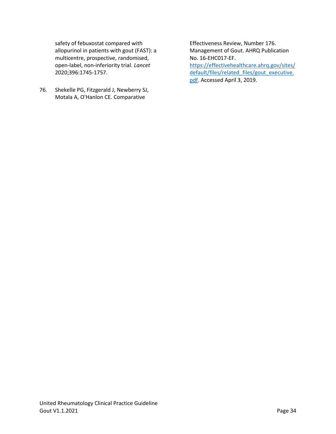safety of febuxostat compared with allopurinol in patients with gout (FAST): a multicentre, prospective, randomised, open-label, non-inferiority trial. *Lancet*  2020;396:1745-1757.

<span id="page-33-0"></span>76. Shekelle PG, Fitzgerald J, Newberry SJ, Motala A, O'Hanlon CE. Comparative

Effectiveness Review, Number 176. Management of Gout. AHRQ Publication No. 16-EHC017-EF.

[https://effectivehealthcare.ahrq.gov/sites/](https://effectivehealthcare.ahrq.gov/sites/default/files/related_files/gout_executive.pdf) [default/files/related\\_files/gout\\_executive.](https://effectivehealthcare.ahrq.gov/sites/default/files/related_files/gout_executive.pdf) [pdf.](https://effectivehealthcare.ahrq.gov/sites/default/files/related_files/gout_executive.pdf) Accessed April 3, 2019.